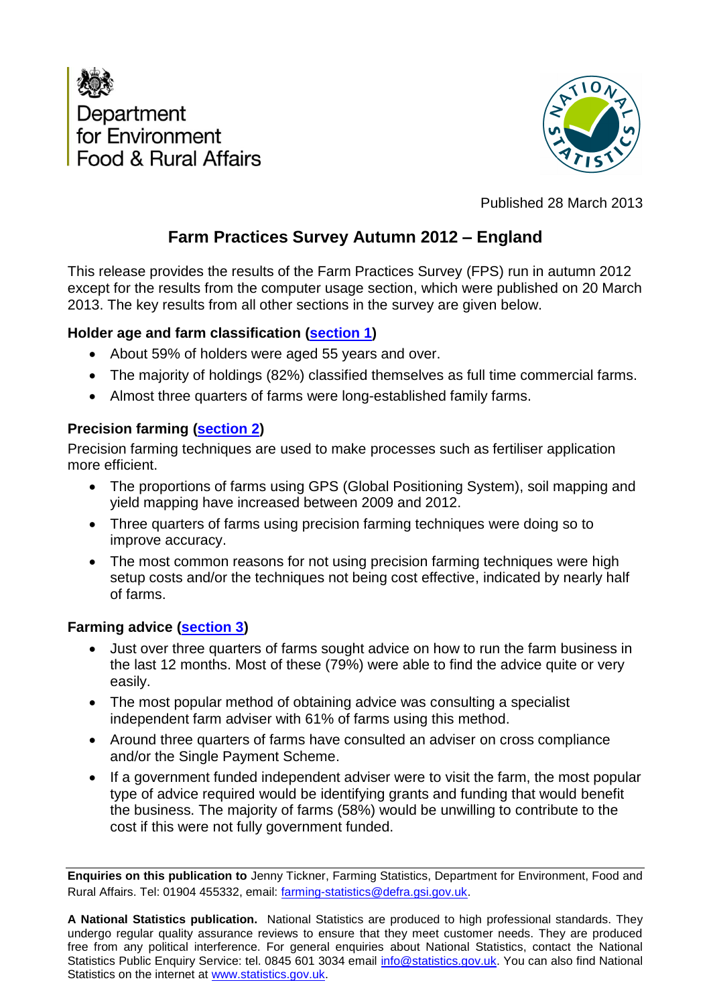



Published 28 March 2013

# **Farm Practices Survey Autumn 2012 – England**

This release provides the results of the Farm Practices Survey (FPS) run in autumn 2012 except for the results from the computer usage section, which were published on 20 March 2013. The key results from all other sections in the survey are given below.

## **Holder age and farm classification [\(section](#page-2-0) 1)**

- About 59% of holders were aged 55 years and over.
- The majority of holdings (82%) classified themselves as full time commercial farms.
- Almost three quarters of farms were long-established family farms.

## **Precision farming [\(section 2](#page-3-0))**

Precision farming techniques are used to make processes such as fertiliser application more efficient.

- The proportions of farms using GPS (Global Positioning System), soil mapping and yield mapping have increased between 2009 and 2012.
- Three quarters of farms using precision farming techniques were doing so to improve accuracy.
- The most common reasons for not using precision farming techniques were high setup costs and/or the techniques not being cost effective, indicated by nearly half of farms.

## **Farming advice [\(section 3](#page-5-0))**

- Just over three quarters of farms sought advice on how to run the farm business in the last 12 months. Most of these (79%) were able to find the advice quite or very easily.
- The most popular method of obtaining advice was consulting a specialist independent farm adviser with 61% of farms using this method.
- Around three quarters of farms have consulted an adviser on cross compliance and/or the Single Payment Scheme.
- If a government funded independent adviser were to visit the farm, the most popular type of advice required would be identifying grants and funding that would benefit the business. The majority of farms (58%) would be unwilling to contribute to the cost if this were not fully government funded.

**Enquiries on this publication to** Jenny Tickner, Farming Statistics, Department for Environment, Food and Rural Affairs. Tel: 01904 455332, email: farming-statistics@defra.gsi.gov.uk.

**A National Statistics publication.** National Statistics are produced to high professional standards. They undergo regular quality assurance reviews to ensure that they meet customer needs. They are produced free from any political interference. For general enquiries about National Statistics, contact the National Statistics Public Enquiry Service: tel. 0845 601 3034 email info@statistics.gov.uk. You can also find National Statistics on the internet at www.statistics.gov.uk.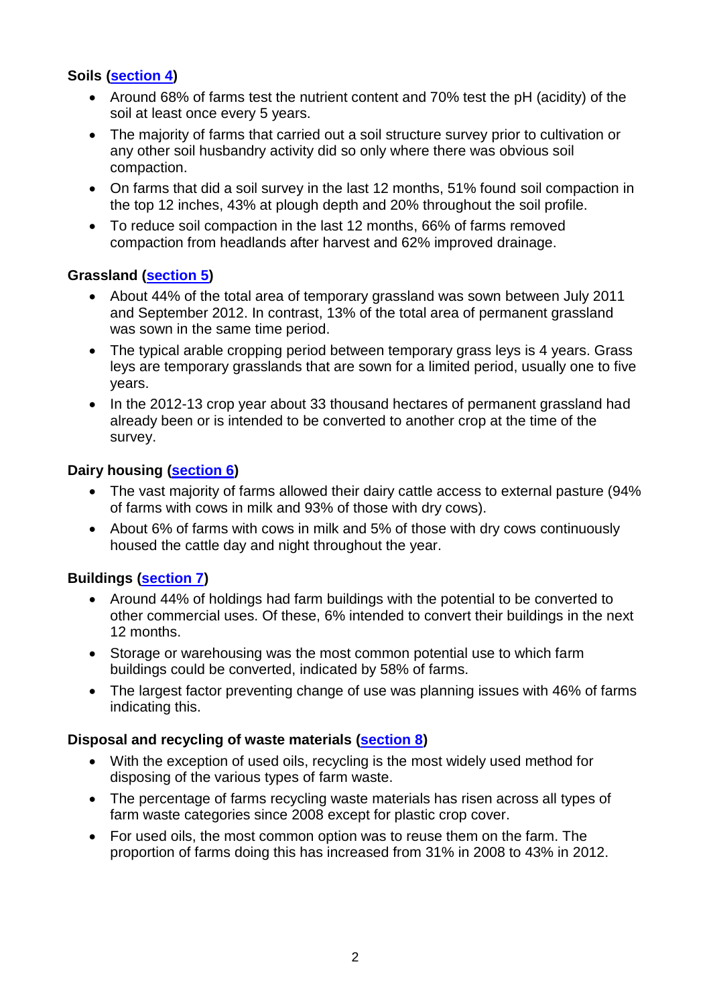## **Soils ([section 4\)](#page-10-0)**

- Around 68% of farms test the nutrient content and 70% test the pH (acidity) of the soil at least once every 5 years.
- The majority of farms that carried out a soil structure survey prior to cultivation or any other soil husbandry activity did so only where there was obvious soil compaction.
- On farms that did a soil survey in the last 12 months, 51% found soil compaction in the top 12 inches, 43% at plough depth and 20% throughout the soil profile.
- To reduce soil compaction in the last 12 months, 66% of farms removed compaction from headlands after harvest and 62% improved drainage.

## **Grassland ([section 5\)](#page-15-0)**

- About 44% of the total area of temporary grassland was sown between July 2011 and September 2012. In contrast, 13% of the total area of permanent grassland was sown in the same time period.
- The typical arable cropping period between temporary grass leys is 4 years. Grass leys are temporary grasslands that are sown for a limited period, usually one to five years.
- In the 2012-13 crop year about 33 thousand hectares of permanent grassland had already been or is intended to be converted to another crop at the time of the survey.

#### **Dairy housing ([section 6](#page-19-0))**

- The vast majority of farms allowed their dairy cattle access to external pasture (94%) of farms with cows in milk and 93% of those with dry cows).
- About 6% of farms with cows in milk and 5% of those with dry cows continuously housed the cattle day and night throughout the year.

## **Buildings ([section 7\)](#page-20-0)**

- Around 44% of holdings had farm buildings with the potential to be converted to other commercial uses. Of these, 6% intended to convert their buildings in the next 12 months.
- Storage or warehousing was the most common potential use to which farm buildings could be converted, indicated by 58% of farms.
- The largest factor preventing change of use was planning issues with 46% of farms indicating this.

#### **Disposal and recycling of waste materials [\(section 8](#page-25-0))**

- With the exception of used oils, recycling is the most widely used method for disposing of the various types of farm waste.
- The percentage of farms recycling waste materials has risen across all types of farm waste categories since 2008 except for plastic crop cover.
- For used oils, the most common option was to reuse them on the farm. The proportion of farms doing this has increased from 31% in 2008 to 43% in 2012.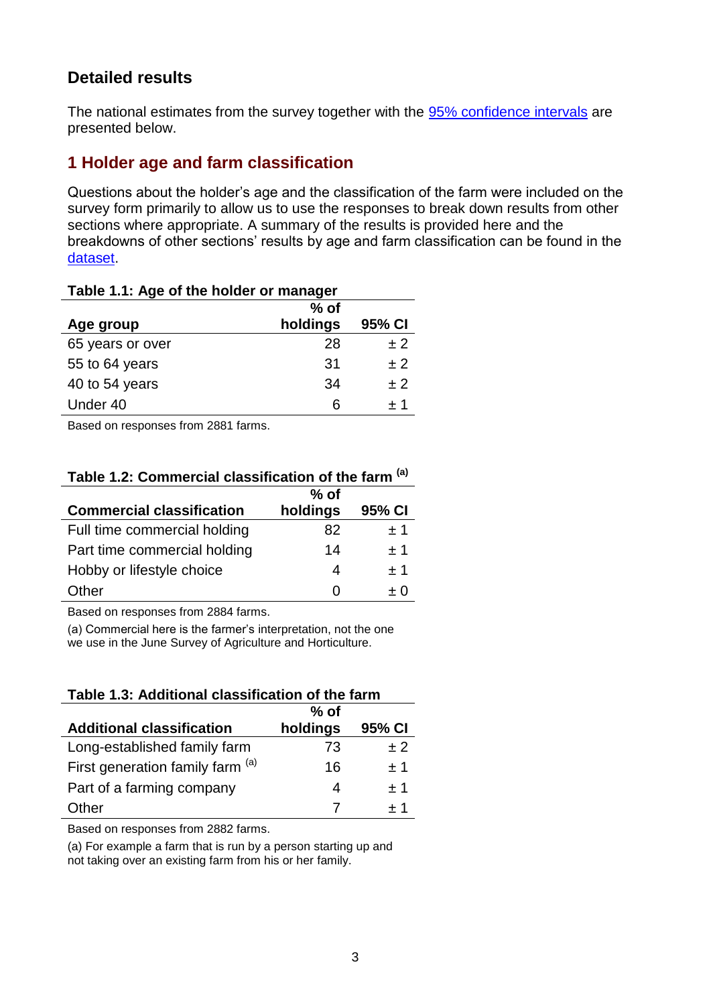## <span id="page-2-0"></span>**Detailed results**

The national estimates from the survey together with the [95% confidence intervals](#page-32-0) are presented below.

## **1 Holder age and farm classification**

Questions about the holder's age and the classification of the farm were included on the survey form primarily to allow us to use the responses to break down results from other sections where appropriate. A summary of the results is provided here and the breakdowns of other sections' results by age and farm classification can be found in the [dataset](#page-32-0).

| Table 1.1: Age of the holder or manager |          |        |  |
|-----------------------------------------|----------|--------|--|
|                                         | $%$ of   |        |  |
| Age group                               | holdings | 95% CI |  |
| 65 years or over                        | 28       | ± 2    |  |
| 55 to 64 years                          | 31       | ± 2    |  |
| 40 to 54 years                          | 34       | ±2     |  |
| Under 40                                | 6        | ±1     |  |

**Table 1.1: Age of the holder or manager**

Based on responses from 2881 farms.

## **Table 1.2: Commercial classification of the farm (a)**

|                                  | $%$ of   |        |
|----------------------------------|----------|--------|
| <b>Commercial classification</b> | holdings | 95% CI |
| Full time commercial holding     | 82       | ±1     |
| Part time commercial holding     | 14       | $+1$   |
| Hobby or lifestyle choice        | 4        | ±1     |
| Other                            | O        | $+$ () |

Based on responses from 2884 farms.

(a) Commercial here is the farmer's interpretation, not the one we use in the June Survey of Agriculture and Horticulture.

**Table 1.3: Additional classification of the farm**

|                                  | $%$ of   |        |
|----------------------------------|----------|--------|
| <b>Additional classification</b> | holdings | 95% CI |
| Long-established family farm     | 73       | $+2$   |
| First generation family farm (a) | 16       | $+1$   |
| Part of a farming company        | 4        | $+1$   |
| Other                            |          | + 1    |

Based on responses from 2882 farms.

(a) For example a farm that is run by a person starting up and not taking over an existing farm from his or her family.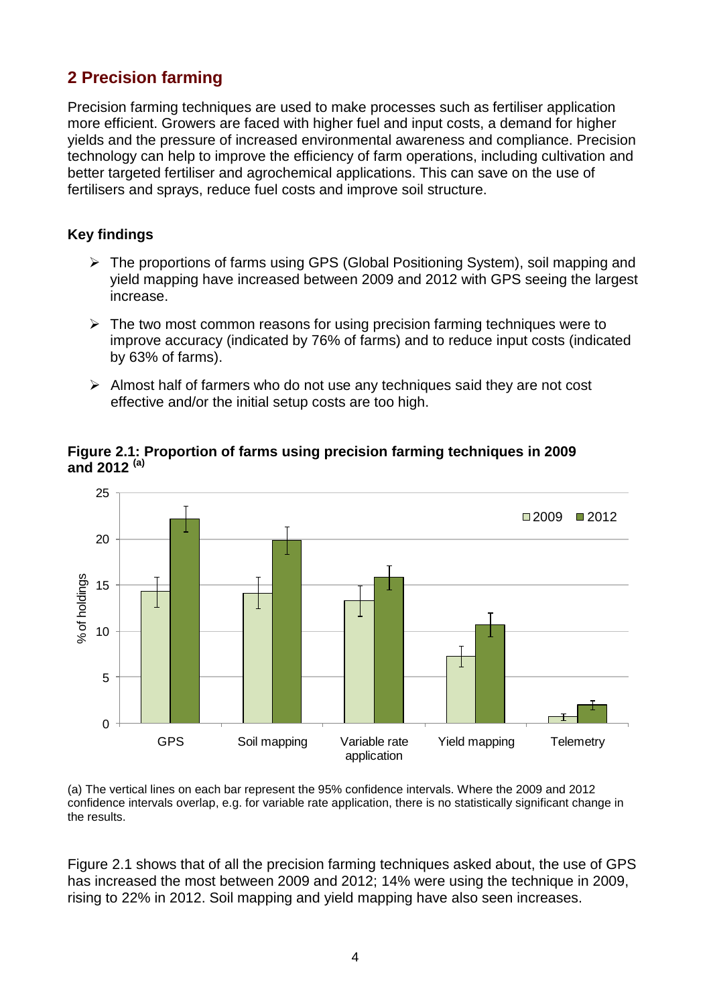# <span id="page-3-0"></span>**2 Precision farming**

Precision farming techniques are used to make processes such as fertiliser application more efficient. Growers are faced with higher fuel and input costs, a demand for higher yields and the pressure of increased environmental awareness and compliance. Precision technology can help to improve the efficiency of farm operations, including cultivation and better targeted fertiliser and agrochemical applications. This can save on the use of fertilisers and sprays, reduce fuel costs and improve soil structure.

## **Key findings**

- The proportions of farms using GPS (Global Positioning System), soil mapping and yield mapping have increased between 2009 and 2012 with GPS seeing the largest increase.
- $\triangleright$  The two most common reasons for using precision farming techniques were to improve accuracy (indicated by 76% of farms) and to reduce input costs (indicated by 63% of farms).
- $\triangleright$  Almost half of farmers who do not use any techniques said they are not cost effective and/or the initial setup costs are too high.



**Figure 2.1: Proportion of farms using precision farming techniques in 2009 and 2012 (a)**

(a) The vertical lines on each bar represent the 95% confidence intervals. Where the 2009 and 2012 confidence intervals overlap, e.g. for variable rate application, there is no statistically significant change in the results.

Figure 2.1 shows that of all the precision farming techniques asked about, the use of GPS has increased the most between 2009 and 2012; 14% were using the technique in 2009, rising to 22% in 2012. Soil mapping and yield mapping have also seen increases.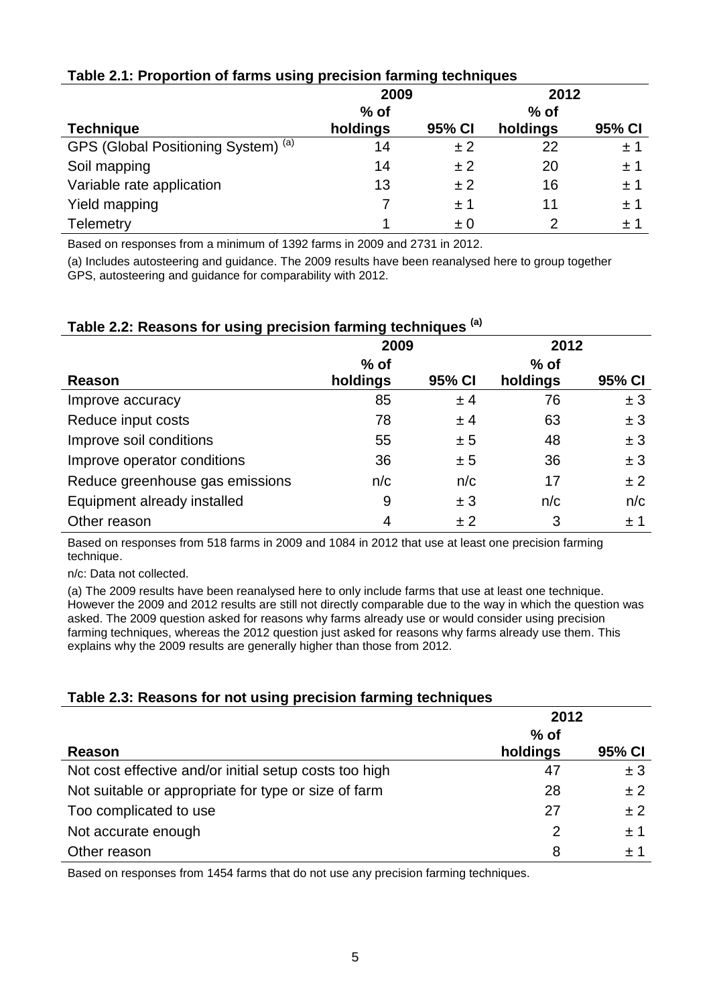|                                     | 2009     |         | 2012     |         |
|-------------------------------------|----------|---------|----------|---------|
|                                     | $%$ of   |         | $%$ of   |         |
| <b>Technique</b>                    | holdings | 95% CI  | holdings | 95% CI  |
| GPS (Global Positioning System) (a) | 14       | ±2      | 22       | ±1      |
| Soil mapping                        | 14       | ± 2     | 20       | ±1      |
| Variable rate application           | 13       | ± 2     | 16       | ±1      |
| Yield mapping                       |          | ±1      | 11       | $\pm$ 1 |
| <b>Telemetry</b>                    |          | $\pm 0$ | 2        | $\pm~1$ |

## **Table 2.1: Proportion of farms using precision farming techniques**

Based on responses from a minimum of 1392 farms in 2009 and 2731 in 2012.

(a) Includes autosteering and guidance. The 2009 results have been reanalysed here to group together GPS, autosteering and guidance for comparability with 2012.

| v r                             |          |        |          |        |
|---------------------------------|----------|--------|----------|--------|
|                                 | 2009     |        | 2012     |        |
|                                 | $%$ of   |        | $%$ of   |        |
| Reason                          | holdings | 95% CI | holdings | 95% CI |
| Improve accuracy                | 85       | ± 4    | 76       | ± 3    |
| Reduce input costs              | 78       | ± 4    | 63       | ± 3    |
| Improve soil conditions         | 55       | ± 5    | 48       | ± 3    |
| Improve operator conditions     | 36       | ± 5    | 36       | ± 3    |
| Reduce greenhouse gas emissions | n/c      | n/c    | 17       | ±2     |
| Equipment already installed     | 9        | ± 3    | n/c      | n/c    |
| Other reason                    | 4        | ±2     | 3        | ±1     |

#### **Table 2.2: Reasons for using precision farming techniques (a)**

Based on responses from 518 farms in 2009 and 1084 in 2012 that use at least one precision farming technique.

n/c: Data not collected.

(a) The 2009 results have been reanalysed here to only include farms that use at least one technique. However the 2009 and 2012 results are still not directly comparable due to the way in which the question was asked. The 2009 question asked for reasons why farms already use or would consider using precision farming techniques, whereas the 2012 question just asked for reasons why farms already use them. This explains why the 2009 results are generally higher than those from 2012.

## **Table 2.3: Reasons for not using precision farming techniques**

|                                                        | 2012     |                  |
|--------------------------------------------------------|----------|------------------|
|                                                        | $%$ of   |                  |
| Reason                                                 | holdings | 95% CI           |
| Not cost effective and/or initial setup costs too high | 47       | ± 3              |
| Not suitable or appropriate for type or size of farm   | 28       | ± 2              |
| Too complicated to use                                 | 27       | ±2               |
| Not accurate enough                                    | 2        | ±1               |
| Other reason                                           | 8        | $\pm$ $^{\circ}$ |

Based on responses from 1454 farms that do not use any precision farming techniques.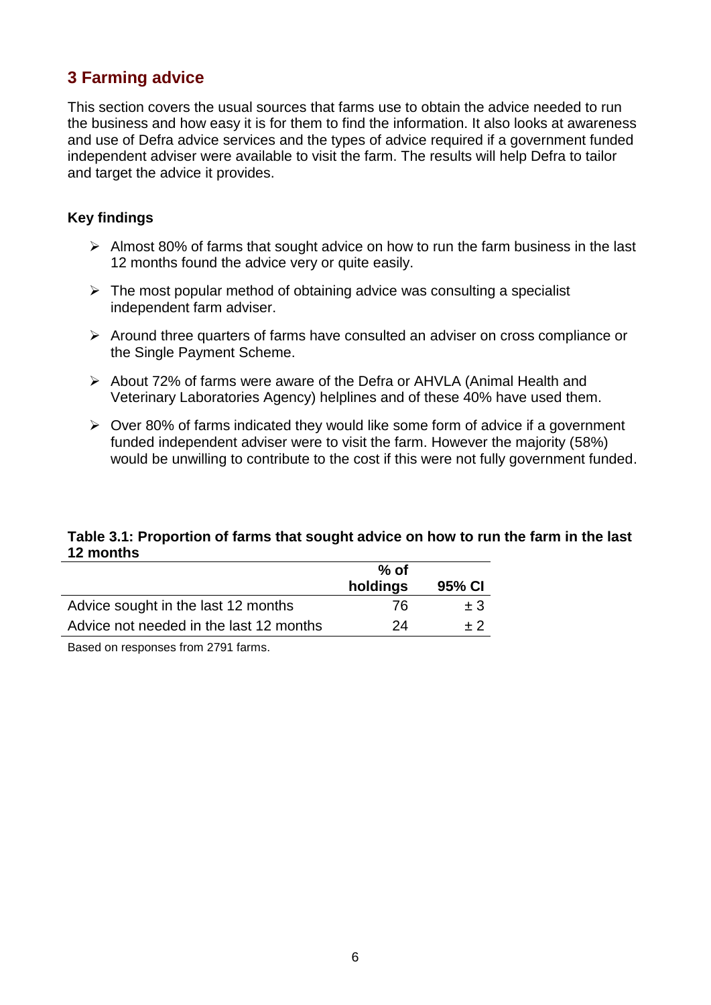# <span id="page-5-0"></span>**3 Farming advice**

This section covers the usual sources that farms use to obtain the advice needed to run the business and how easy it is for them to find the information. It also looks at awareness and use of Defra advice services and the types of advice required if a government funded independent adviser were available to visit the farm. The results will help Defra to tailor and target the advice it provides.

#### **Key findings**

- $\triangleright$  Almost 80% of farms that sought advice on how to run the farm business in the last 12 months found the advice very or quite easily.
- $\triangleright$  The most popular method of obtaining advice was consulting a specialist independent farm adviser.
- $\triangleright$  Around three quarters of farms have consulted an adviser on cross compliance or the Single Payment Scheme.
- About 72% of farms were aware of the Defra or AHVLA (Animal Health and Veterinary Laboratories Agency) helplines and of these 40% have used them.
- $\geq$  Over 80% of farms indicated they would like some form of advice if a government funded independent adviser were to visit the farm. However the majority (58%) would be unwilling to contribute to the cost if this were not fully government funded.

## **Table 3.1: Proportion of farms that sought advice on how to run the farm in the last 12 months**

|                                         | $%$ of   |         |
|-----------------------------------------|----------|---------|
|                                         | holdings | 95% CI  |
| Advice sought in the last 12 months     | 76.      | $\pm 3$ |
| Advice not needed in the last 12 months | 24       | $+2$    |

Based on responses from 2791 farms.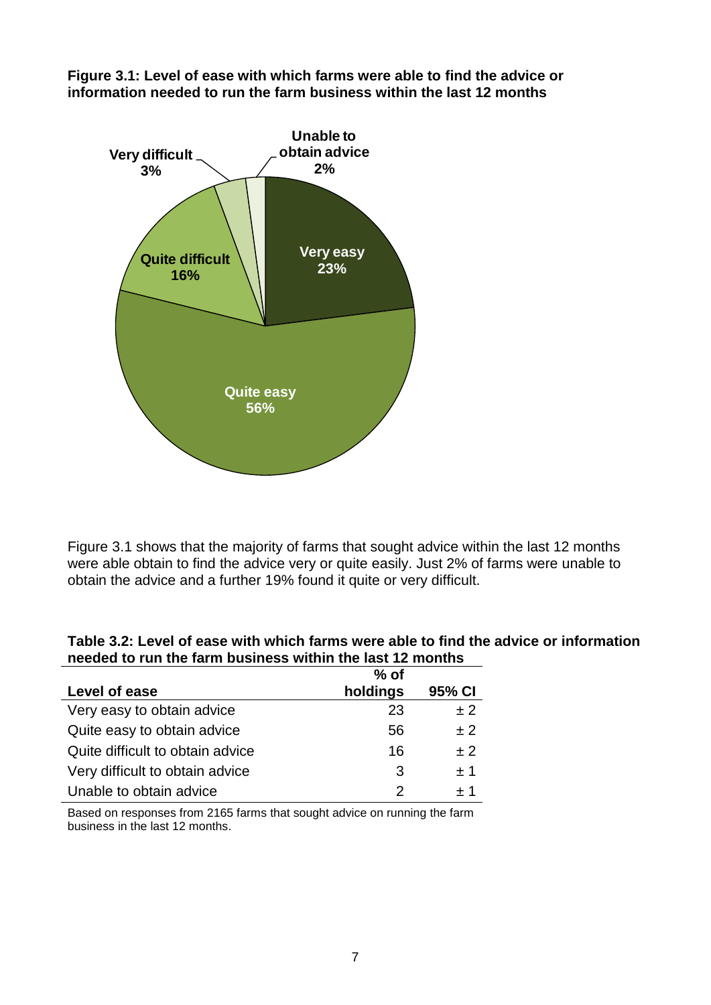**Figure 3.1: Level of ease with which farms were able to find the advice or information needed to run the farm business within the last 12 months**



Figure 3.1 shows that the majority of farms that sought advice within the last 12 months were able obtain to find the advice very or quite easily. Just 2% of farms were unable to obtain the advice and a further 19% found it quite or very difficult.

| Table 3.2: Level of ease with which farms were able to find the advice or information |
|---------------------------------------------------------------------------------------|
| needed to run the farm business within the last 12 months                             |

|                                  | $%$ of   |        |
|----------------------------------|----------|--------|
| Level of ease                    | holdings | 95% CI |
| Very easy to obtain advice       | 23       | ± 2    |
| Quite easy to obtain advice      | 56       | ± 2    |
| Quite difficult to obtain advice | 16       | $+2$   |
| Very difficult to obtain advice  | 3        | $+1$   |
| Unable to obtain advice          | 2        | $+1$   |

Based on responses from 2165 farms that sought advice on running the farm business in the last 12 months.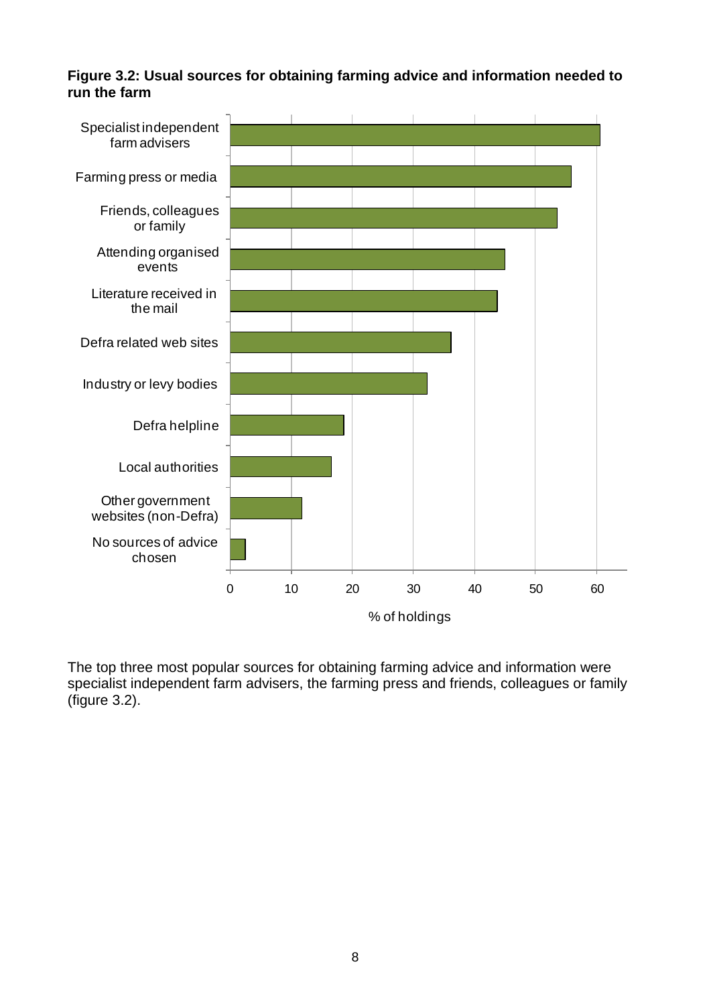**Figure 3.2: Usual sources for obtaining farming advice and information needed to run the farm**



The top three most popular sources for obtaining farming advice and information were specialist independent farm advisers, the farming press and friends, colleagues or family (figure 3.2).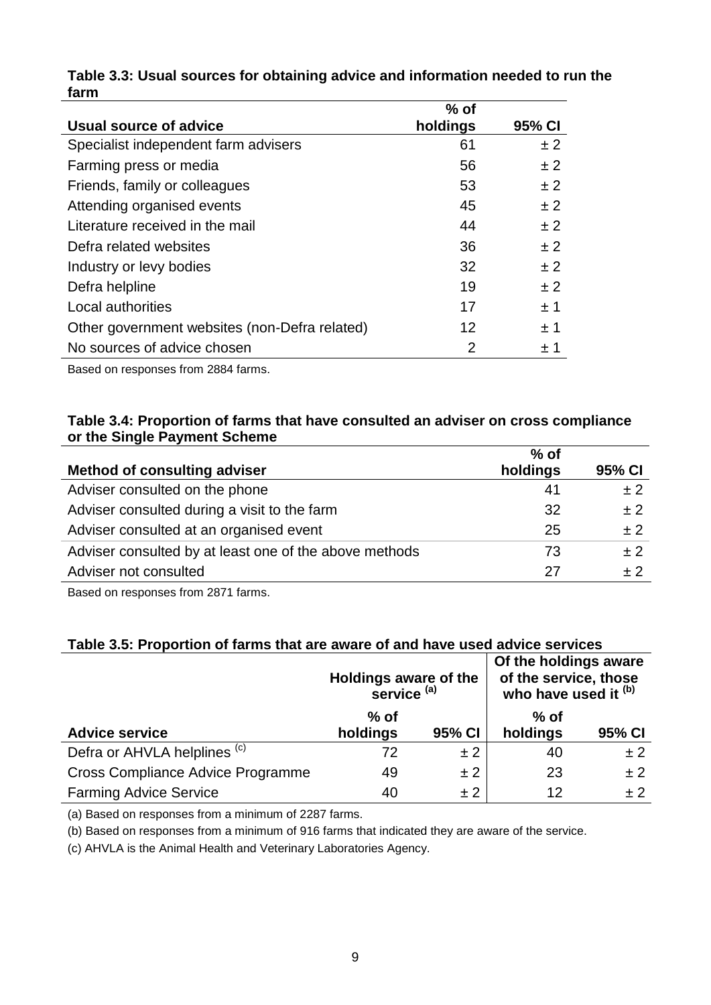|                                               | $%$ of         |        |
|-----------------------------------------------|----------------|--------|
| Usual source of advice                        | holdings       | 95% CI |
| Specialist independent farm advisers          | 61             | ±2     |
| Farming press or media                        | 56             | ± 2    |
| Friends, family or colleagues                 | 53             | ± 2    |
| Attending organised events                    | 45             | ± 2    |
| Literature received in the mail               | 44             | ± 2    |
| Defra related websites                        | 36             | ± 2    |
| Industry or levy bodies                       | 32             | ± 2    |
| Defra helpline                                | 19             | ± 2    |
| Local authorities                             | 17             | ±1     |
| Other government websites (non-Defra related) | 12             | ±1     |
| No sources of advice chosen                   | $\overline{2}$ | ±1     |

#### **Table 3.3: Usual sources for obtaining advice and information needed to run the farm**

Based on responses from 2884 farms.

#### **Table 3.4: Proportion of farms that have consulted an adviser on cross compliance or the Single Payment Scheme**

|                                                        | $%$ of   |        |
|--------------------------------------------------------|----------|--------|
| <b>Method of consulting adviser</b>                    | holdings | 95% CI |
| Adviser consulted on the phone                         | 41       | ±2     |
| Adviser consulted during a visit to the farm           | 32       | ±2     |
| Adviser consulted at an organised event                | 25       | ±2     |
| Adviser consulted by at least one of the above methods | 73       | ±2     |
| Adviser not consulted                                  | 27       | $+2$   |

Based on responses from 2871 farms.

## **Table 3.5: Proportion of farms that are aware of and have used advice services**

|                                          | Holdings aware of the<br>service <sup>(a)</sup> |        | Of the holdings aware<br>of the service, those<br>who have used it (b) |        |
|------------------------------------------|-------------------------------------------------|--------|------------------------------------------------------------------------|--------|
| <b>Advice service</b>                    | $%$ of<br>holdings                              | 95% CI | $%$ of<br>holdings                                                     | 95% CI |
| Defra or AHVLA helplines <sup>(c)</sup>  | 72                                              | ±2     | 40                                                                     | ±2     |
| <b>Cross Compliance Advice Programme</b> | 49                                              | ±2     | 23                                                                     | ±2     |
| <b>Farming Advice Service</b>            | 40                                              | ±2     | 12                                                                     | ± 2    |

(a) Based on responses from a minimum of 2287 farms.

(b) Based on responses from a minimum of 916 farms that indicated they are aware of the service.

(c) AHVLA is the Animal Health and Veterinary Laboratories Agency.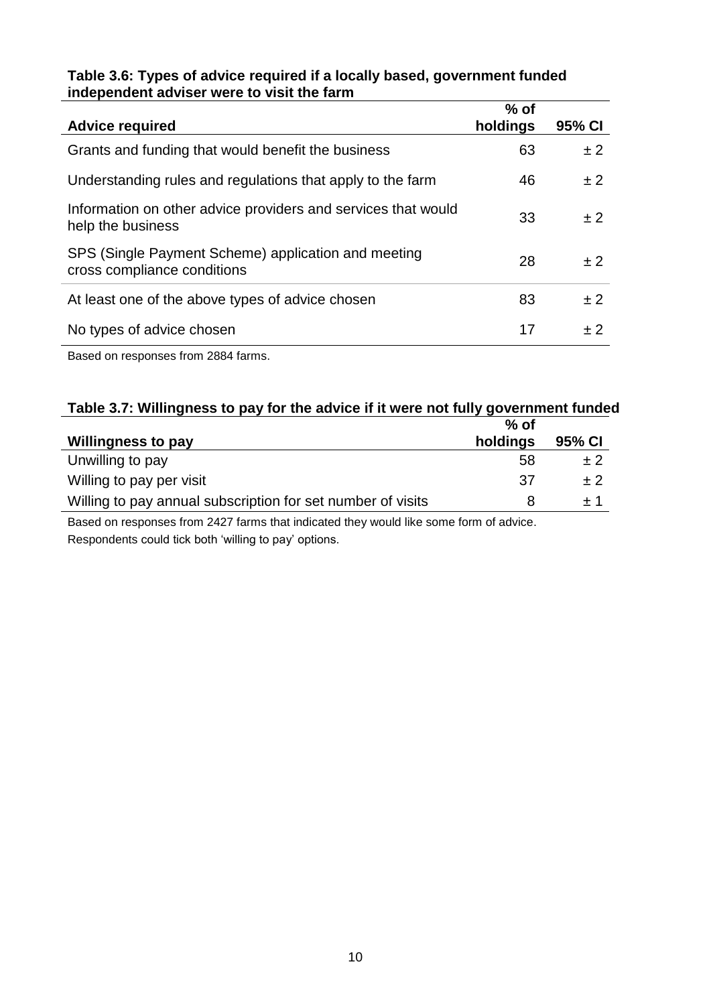### **Table 3.6: Types of advice required if a locally based, government funded independent adviser were to visit the farm**

| <b>Advice required</b>                                                             | $%$ of<br>holdings | 95% CI |
|------------------------------------------------------------------------------------|--------------------|--------|
| Grants and funding that would benefit the business                                 | 63                 | ±2     |
| Understanding rules and regulations that apply to the farm                         | 46                 | ±2     |
| Information on other advice providers and services that would<br>help the business | 33                 | ±2     |
| SPS (Single Payment Scheme) application and meeting<br>cross compliance conditions | 28                 | ± 2    |
| At least one of the above types of advice chosen                                   | 83                 | ±2     |
| No types of advice chosen                                                          | 17                 | $+2$   |

Based on responses from 2884 farms.

## **Table 3.7: Willingness to pay for the advice if it were not fully government funded**

|                                                             | % of     |        |
|-------------------------------------------------------------|----------|--------|
| <b>Willingness to pay</b>                                   | holdings | 95% CI |
| Unwilling to pay                                            | 58       | ± 2    |
| Willing to pay per visit                                    | -37      | $+2$   |
| Willing to pay annual subscription for set number of visits |          | $+1$   |

Based on responses from 2427 farms that indicated they would like some form of advice. Respondents could tick both 'willing to pay' options.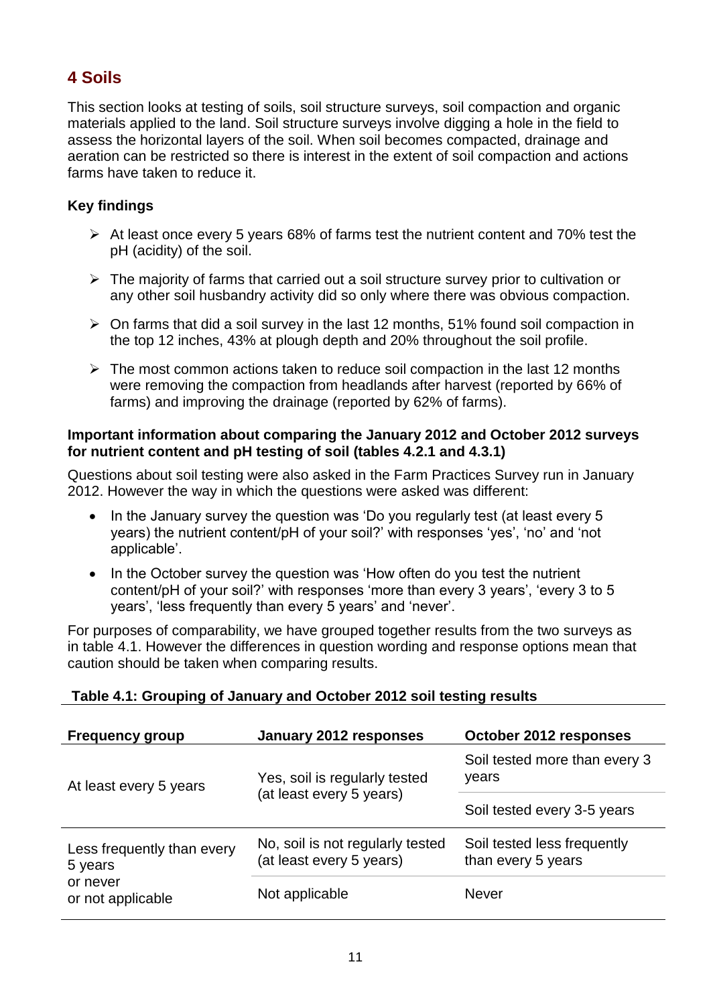# <span id="page-10-0"></span>**4 Soils**

This section looks at testing of soils, soil structure surveys, soil compaction and organic materials applied to the land. Soil structure surveys involve digging a hole in the field to assess the horizontal layers of the soil. When soil becomes compacted, drainage and aeration can be restricted so there is interest in the extent of soil compaction and actions farms have taken to reduce it.

## **Key findings**

- $\triangleright$  At least once every 5 years 68% of farms test the nutrient content and 70% test the pH (acidity) of the soil.
- $\triangleright$  The majority of farms that carried out a soil structure survey prior to cultivation or any other soil husbandry activity did so only where there was obvious compaction.
- $\triangleright$  On farms that did a soil survey in the last 12 months, 51% found soil compaction in the top 12 inches, 43% at plough depth and 20% throughout the soil profile.
- $\triangleright$  The most common actions taken to reduce soil compaction in the last 12 months were removing the compaction from headlands after harvest (reported by 66% of farms) and improving the drainage (reported by 62% of farms).

#### **Important information about comparing the January 2012 and October 2012 surveys for nutrient content and pH testing of soil (tables 4.2.1 and 4.3.1)**

Questions about soil testing were also asked in the Farm Practices Survey run in January 2012. However the way in which the questions were asked was different:

- In the January survey the question was 'Do you regularly test (at least every 5 years) the nutrient content/pH of your soil?' with responses 'yes', 'no' and 'not applicable'.
- In the October survey the question was 'How often do you test the nutrient content/pH of your soil?' with responses 'more than every 3 years', 'every 3 to 5 years', 'less frequently than every 5 years' and 'never'.

For purposes of comparability, we have grouped together results from the two surveys as in table 4.1. However the differences in question wording and response options mean that caution should be taken when comparing results.

| <b>Frequency group</b>                | January 2012 responses                                       | October 2012 responses                            |
|---------------------------------------|--------------------------------------------------------------|---------------------------------------------------|
| At least every 5 years                | Yes, soil is regularly tested                                | Soil tested more than every 3<br>years            |
|                                       | (at least every 5 years)                                     | Soil tested every 3-5 years                       |
| Less frequently than every<br>5 years | No, soil is not regularly tested<br>(at least every 5 years) | Soil tested less frequently<br>than every 5 years |
| or never<br>or not applicable         | Not applicable                                               | <b>Never</b>                                      |

## **Table 4.1: Grouping of January and October 2012 soil testing results**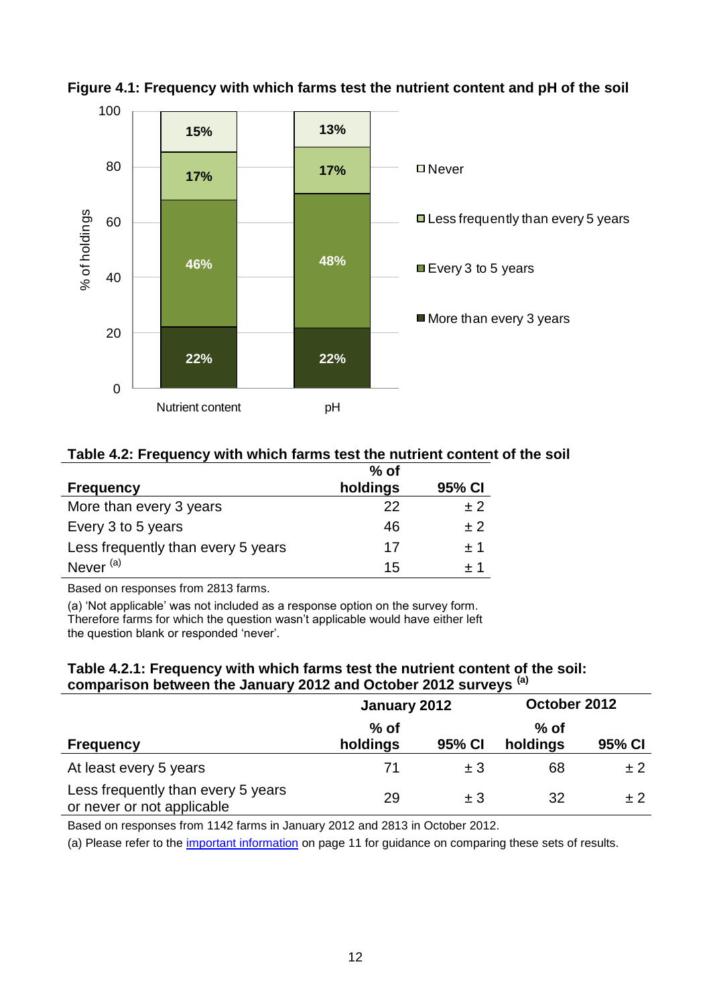



#### **Table 4.2: Frequency with which farms test the nutrient content of the soil**

|                                    | $%$ of   |        |
|------------------------------------|----------|--------|
| <b>Frequency</b>                   | holdings | 95% CI |
| More than every 3 years            | 22       | $+2$   |
| Every 3 to 5 years                 | 46       | $+2$   |
| Less frequently than every 5 years | 17       | $+1$   |
| Never <sup>(a)</sup>               | 15       | + 1    |

Based on responses from 2813 farms.

(a) 'Not applicable' was not included as a response option on the survey form. Therefore farms for which the question wasn't applicable would have either left the question blank or responded 'never'.

#### **Table 4.2.1: Frequency with which farms test the nutrient content of the soil: comparison between the January 2012 and October 2012 surveys (a)**

|                                                                  | January 2012       |         | October 2012       |        |
|------------------------------------------------------------------|--------------------|---------|--------------------|--------|
| <b>Frequency</b>                                                 | $%$ of<br>holdings | 95% CI  | $%$ of<br>holdings | 95% CI |
| At least every 5 years                                           | 71                 | $\pm$ 3 | 68                 | ± 2    |
| Less frequently than every 5 years<br>or never or not applicable | 29                 | $+3$    | 32                 | $+2$   |

Based on responses from 1142 farms in January 2012 and 2813 in October 2012.

(a) Please refer to the [important information](#page-10-0) on page 11 for guidance on comparing these sets of results.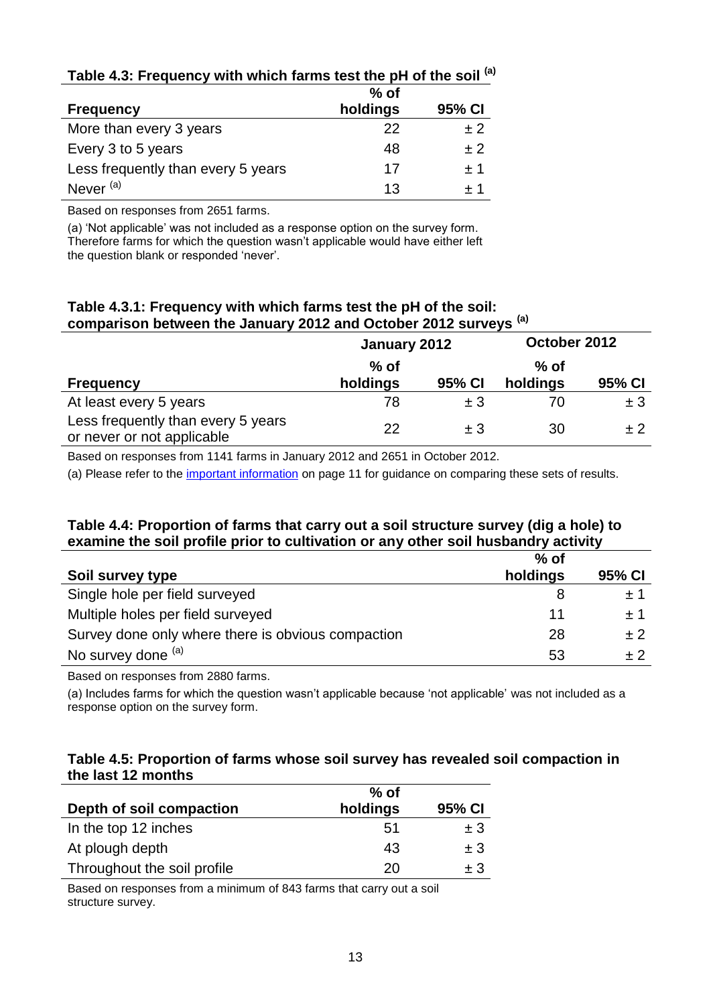|                                    | $%$ of   |        |
|------------------------------------|----------|--------|
| <b>Frequency</b>                   | holdings | 95% CI |
| More than every 3 years            | 22       | $+2$   |
| Every 3 to 5 years                 | 48       | $+2$   |
| Less frequently than every 5 years | 17       | $+1$   |
| Never <sup>(a)</sup>               | 13       |        |

## **Table 4.3: Frequency with which farms test the pH of the soil (a)**

Based on responses from 2651 farms.

(a) 'Not applicable' was not included as a response option on the survey form. Therefore farms for which the question wasn't applicable would have either left the question blank or responded 'never'.

#### **Table 4.3.1: Frequency with which farms test the pH of the soil: comparison between the January 2012 and October 2012 surveys (a)**

|                                                                  | January 2012       |         | October 2012       |         |
|------------------------------------------------------------------|--------------------|---------|--------------------|---------|
| <b>Frequency</b>                                                 | $%$ of<br>holdings | 95% CI  | $%$ of<br>holdings | 95% CI  |
| At least every 5 years                                           | 78                 | ±3      | 70                 | $\pm$ 3 |
| Less frequently than every 5 years<br>or never or not applicable | 22                 | $\pm$ 3 | 30                 | $+2$    |

Based on responses from 1141 farms in January 2012 and 2651 in October 2012.

(a) Please refer to the [important information](#page-10-0) on page 11 for guidance on comparing these sets of results.

## **Table 4.4: Proportion of farms that carry out a soil structure survey (dig a hole) to examine the soil profile prior to cultivation or any other soil husbandry activity**

|                                                    | $%$ of   |        |
|----------------------------------------------------|----------|--------|
| Soil survey type                                   | holdings | 95% CI |
| Single hole per field surveyed                     |          | ± 1    |
| Multiple holes per field surveyed                  | 11       | $+1$   |
| Survey done only where there is obvious compaction | 28       | $+2$   |
| No survey done (a)                                 | 53       | +2     |

Based on responses from 2880 farms.

(a) Includes farms for which the question wasn't applicable because 'not applicable' was not included as a response option on the survey form.

#### **Table 4.5: Proportion of farms whose soil survey has revealed soil compaction in the last 12 months**

|                             | $%$ of   |         |
|-----------------------------|----------|---------|
| Depth of soil compaction    | holdings | 95% CI  |
| In the top 12 inches        | 51       | $\pm$ 3 |
| At plough depth             | 43       | $\pm$ 3 |
| Throughout the soil profile | 20       | + 3     |

Based on responses from a minimum of 843 farms that carry out a soil structure survey.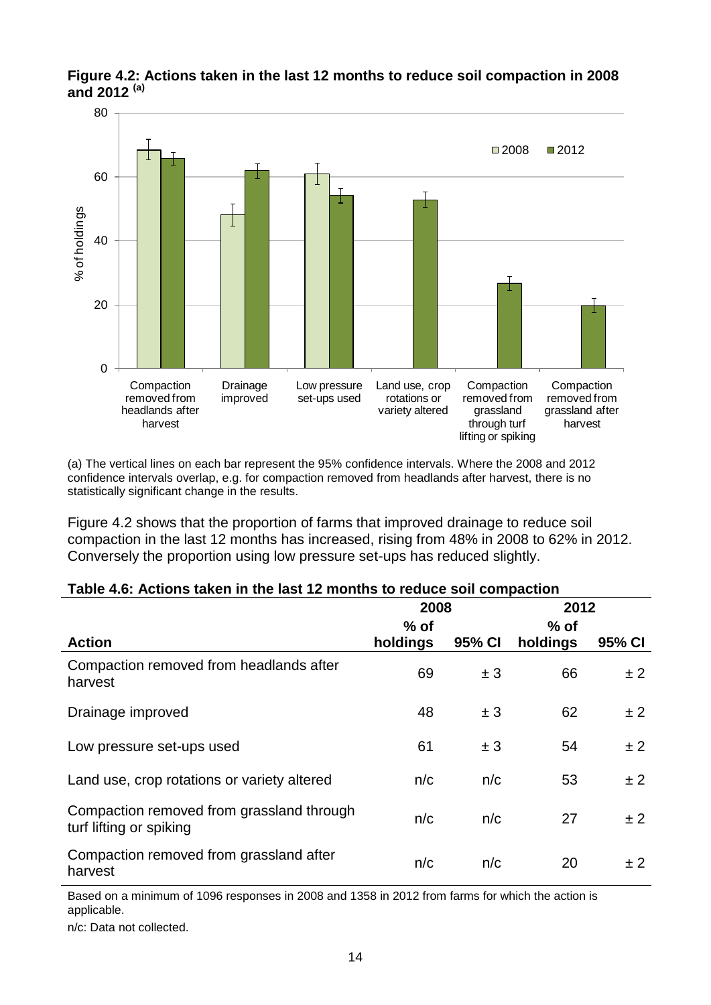

**Figure 4.2: Actions taken in the last 12 months to reduce soil compaction in 2008 and 2012 (a)**

(a) The vertical lines on each bar represent the 95% confidence intervals. Where the 2008 and 2012 confidence intervals overlap, e.g. for compaction removed from headlands after harvest, there is no statistically significant change in the results.

Figure 4.2 shows that the proportion of farms that improved drainage to reduce soil compaction in the last 12 months has increased, rising from 48% in 2008 to 62% in 2012. Conversely the proportion using low pressure set-ups has reduced slightly.

#### **Table 4.6: Actions taken in the last 12 months to reduce soil compaction**

|                                                                      | 2008     |        | 2012     |        |
|----------------------------------------------------------------------|----------|--------|----------|--------|
|                                                                      | $%$ of   |        | $%$ of   |        |
| <b>Action</b>                                                        | holdings | 95% CI | holdings | 95% CI |
| Compaction removed from headlands after<br>harvest                   | 69       | ± 3    | 66       | ± 2    |
| Drainage improved                                                    | 48       | ± 3    | 62       | ± 2    |
| Low pressure set-ups used                                            | 61       | ± 3    | 54       | ±2     |
| Land use, crop rotations or variety altered                          | n/c      | n/c    | 53       | ± 2    |
| Compaction removed from grassland through<br>turf lifting or spiking | n/c      | n/c    | 27       | ±2     |
| Compaction removed from grassland after<br>harvest                   | n/c      | n/c    | 20       | ± 2    |

Based on a minimum of 1096 responses in 2008 and 1358 in 2012 from farms for which the action is applicable.

n/c: Data not collected.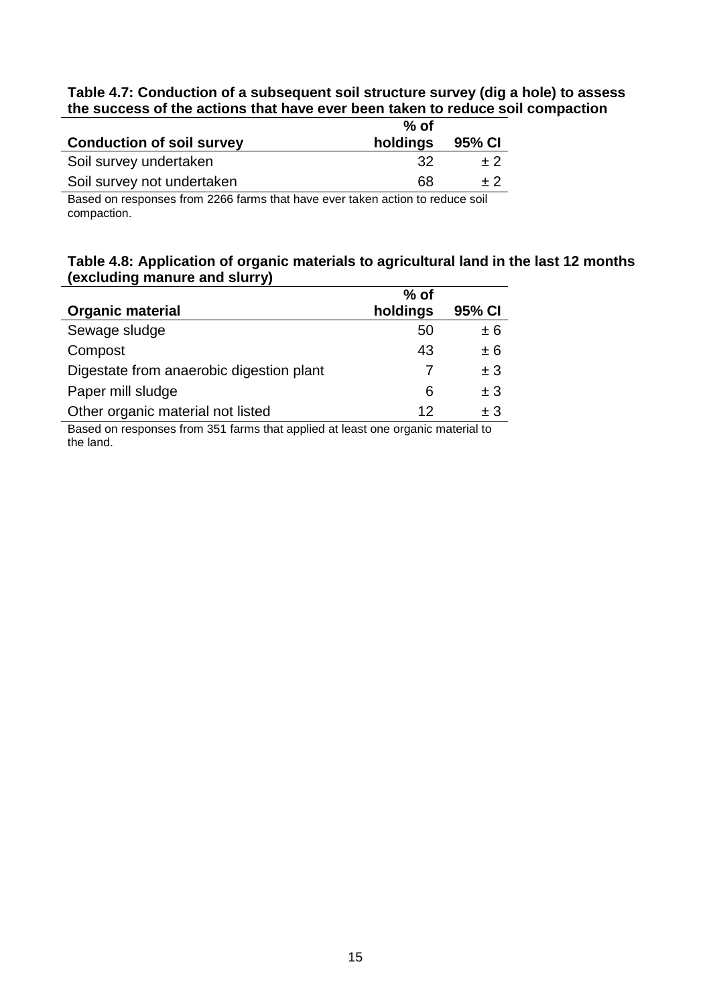#### **Table 4.7: Conduction of a subsequent soil structure survey (dig a hole) to assess the success of the actions that have ever been taken to reduce soil compaction**

|                                                                               | $%$ of   |        |
|-------------------------------------------------------------------------------|----------|--------|
| <b>Conduction of soil survey</b>                                              | holdings | 95% CI |
| Soil survey undertaken                                                        | -32      | $+2$   |
| Soil survey not undertaken                                                    | 68       | $+2$   |
| Road on reapproach from 2200 forms that house quartelian sation to reduce and |          |        |

Based on responses from 2266 farms that have ever taken action to reduce soil compaction.

## **Table 4.8: Application of organic materials to agricultural land in the last 12 months (excluding manure and slurry)**

|                                          | $%$ of   |        |
|------------------------------------------|----------|--------|
| <b>Organic material</b>                  | holdings | 95% CI |
| Sewage sludge                            | 50       | ± 6    |
| Compost                                  | 43       | ± 6    |
| Digestate from anaerobic digestion plant |          | ± 3    |
| Paper mill sludge                        | 6        | ± 3    |
| Other organic material not listed        | 12       | $+3$   |

Based on responses from 351 farms that applied at least one organic material to the land.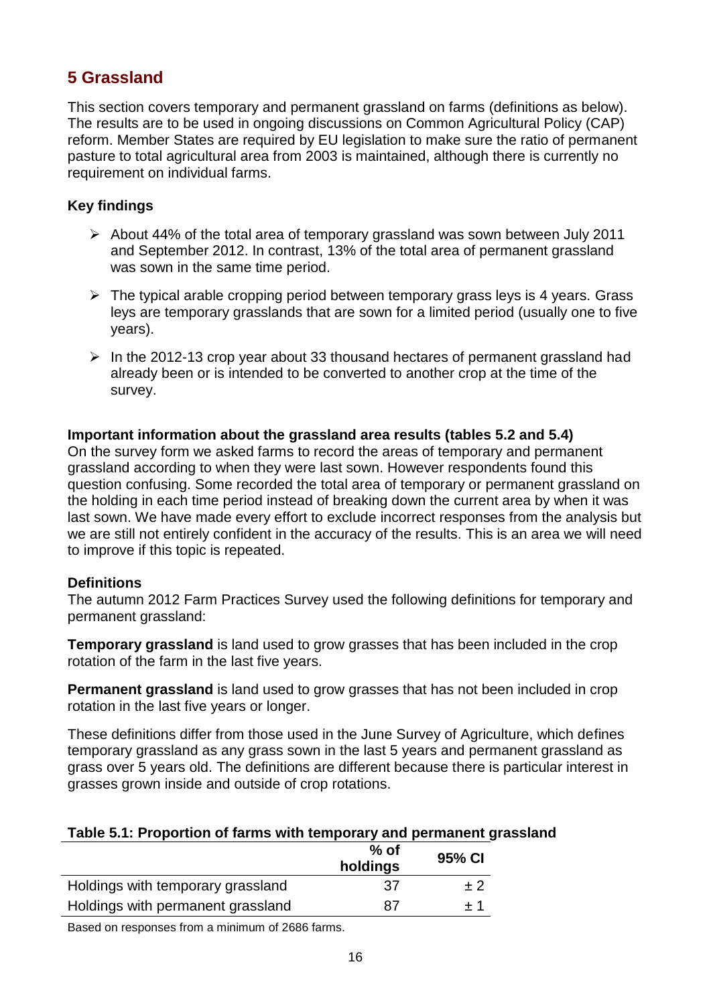# <span id="page-15-0"></span>**5 Grassland**

This section covers temporary and permanent grassland on farms (definitions as below). The results are to be used in ongoing discussions on Common Agricultural Policy (CAP) reform. Member States are required by EU legislation to make sure the ratio of permanent pasture to total agricultural area from 2003 is maintained, although there is currently no requirement on individual farms.

## **Key findings**

- $\triangleright$  About 44% of the total area of temporary grassland was sown between July 2011 and September 2012. In contrast, 13% of the total area of permanent grassland was sown in the same time period.
- $\triangleright$  The typical arable cropping period between temporary grass leys is 4 years. Grass leys are temporary grasslands that are sown for a limited period (usually one to five years).
- $\triangleright$  In the 2012-13 crop year about 33 thousand hectares of permanent grassland had already been or is intended to be converted to another crop at the time of the survey.

## **Important information about the grassland area results (tables 5.2 and 5.4)**

On the survey form we asked farms to record the areas of temporary and permanent grassland according to when they were last sown. However respondents found this question confusing. Some recorded the total area of temporary or permanent grassland on the holding in each time period instead of breaking down the current area by when it was last sown. We have made every effort to exclude incorrect responses from the analysis but we are still not entirely confident in the accuracy of the results. This is an area we will need to improve if this topic is repeated.

## **Definitions**

The autumn 2012 Farm Practices Survey used the following definitions for temporary and permanent grassland:

**Temporary grassland** is land used to grow grasses that has been included in the crop rotation of the farm in the last five years.

**Permanent grassland** is land used to grow grasses that has not been included in crop rotation in the last five years or longer.

These definitions differ from those used in the June Survey of Agriculture, which defines temporary grassland as any grass sown in the last 5 years and permanent grassland as grass over 5 years old. The definitions are different because there is particular interest in grasses grown inside and outside of crop rotations.

## **Table 5.1: Proportion of farms with temporary and permanent grassland**

|                                   | $%$ of<br>holdings | 95% CI |
|-----------------------------------|--------------------|--------|
| Holdings with temporary grassland | 37                 | + 2    |
| Holdings with permanent grassland | 87                 | + 1    |
|                                   |                    |        |

Based on responses from a minimum of 2686 farms.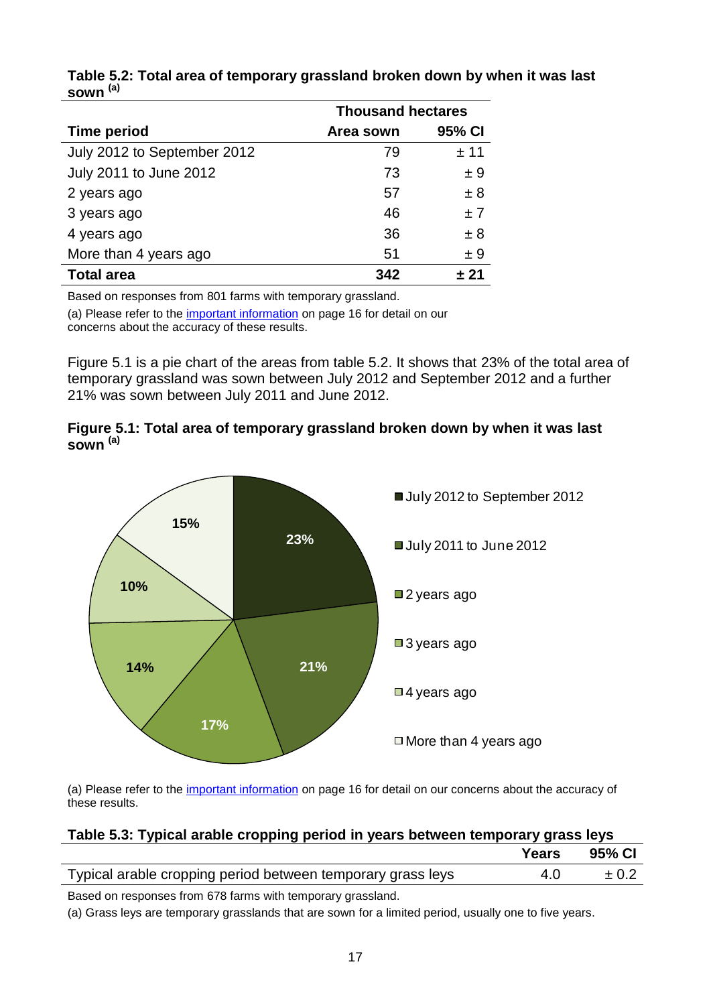|                             | <b>Thousand hectares</b> |        |  |
|-----------------------------|--------------------------|--------|--|
| <b>Time period</b>          | Area sown                | 95% CI |  |
| July 2012 to September 2012 | 79                       | ± 11   |  |
| July 2011 to June 2012      | 73                       | ± 9    |  |
| 2 years ago                 | 57                       | ±8     |  |
| 3 years ago                 | 46                       | ±7     |  |
| 4 years ago                 | 36                       | ± 8    |  |
| More than 4 years ago       | 51                       | ± 9    |  |
| <b>Total area</b>           | 342                      | + 21   |  |

#### **Table 5.2: Total area of temporary grassland broken down by when it was last sown (a)**

Based on responses from 801 farms with temporary grassland.

(a) Please refer to the [important information](#page-15-0) on page 16 for detail on our concerns about the accuracy of these results.

Figure 5.1 is a pie chart of the areas from table 5.2. It shows that 23% of the total area of temporary grassland was sown between July 2012 and September 2012 and a further 21% was sown between July 2011 and June 2012.





(a) Please refer to the [important information](#page-15-0) on page 16 for detail on our concerns about the accuracy of these results.

| Table 5.3: Typical arable cropping period in years between temporary grass leys |  |  |
|---------------------------------------------------------------------------------|--|--|
|                                                                                 |  |  |

|                                                             | Years | 95% CI    |
|-------------------------------------------------------------|-------|-----------|
| Typical arable cropping period between temporary grass leys | 4.0   | $\pm 0.2$ |
| Based on responses from 678 farms with temporary grassland. |       |           |

(a) Grass leys are temporary grasslands that are sown for a limited period, usually one to five years.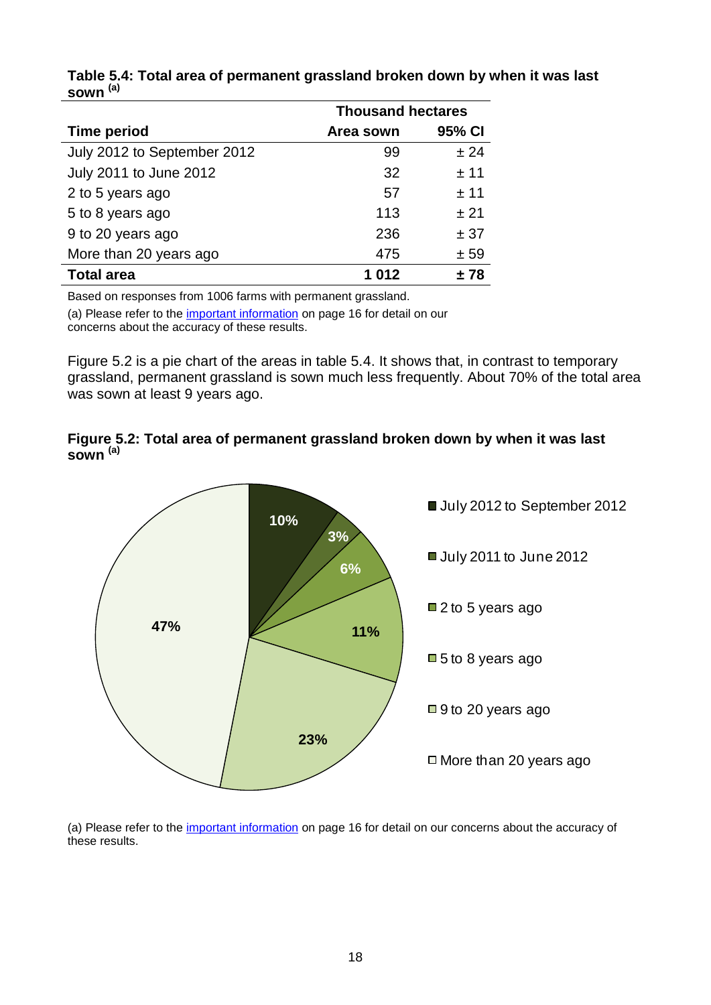|                             | <b>Thousand hectares</b> |        |  |
|-----------------------------|--------------------------|--------|--|
| <b>Time period</b>          | Area sown                | 95% CI |  |
| July 2012 to September 2012 | 99                       | ± 24   |  |
| July 2011 to June 2012      | 32                       | ± 11   |  |
| 2 to 5 years ago            | 57                       | ±11    |  |
| 5 to 8 years ago            | 113                      | ± 21   |  |
| 9 to 20 years ago           | 236                      | ± 37   |  |
| More than 20 years ago      | 475                      | ± 59   |  |
| <b>Total area</b>           | 1012                     | + 78   |  |

#### **Table 5.4: Total area of permanent grassland broken down by when it was last sown (a)**

Based on responses from 1006 farms with permanent grassland.

(a) Please refer to the [important information](#page-15-0) on page 16 for detail on our concerns about the accuracy of these results.

Figure 5.2 is a pie chart of the areas in table 5.4. It shows that, in contrast to temporary grassland, permanent grassland is sown much less frequently. About 70% of the total area was sown at least 9 years ago.

#### **Figure 5.2: Total area of permanent grassland broken down by when it was last sown (a)**



(a) Please refer to the [important information](#page-15-0) on page 16 for detail on our concerns about the accuracy of these results.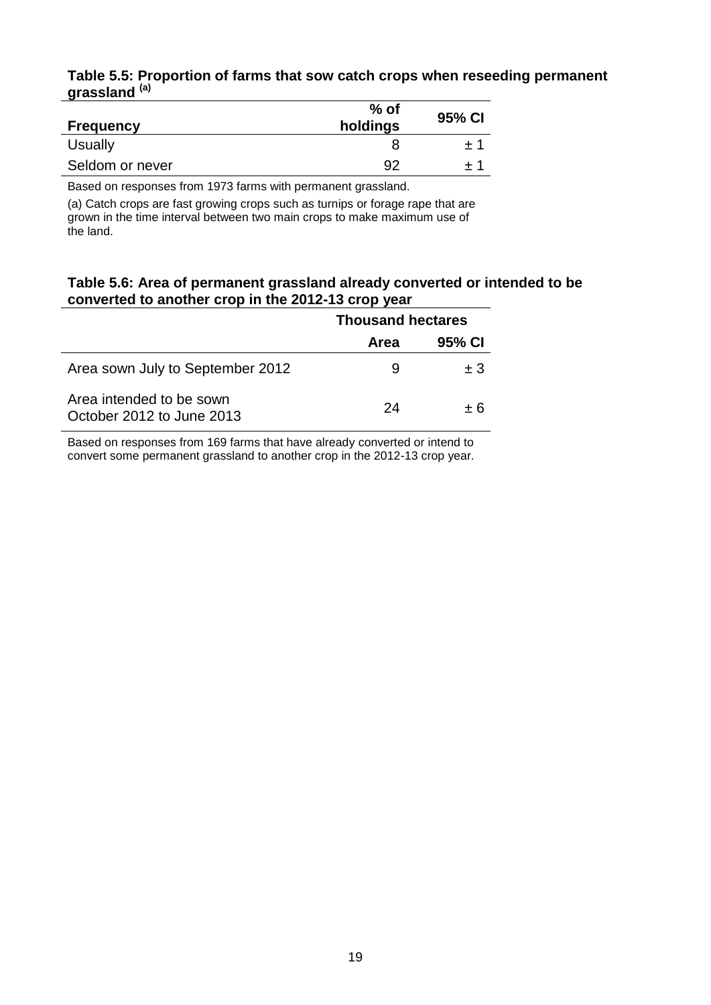#### **Table 5.5: Proportion of farms that sow catch crops when reseeding permanent grassland (a)**

| <b>Frequency</b> | $%$ of<br>holdings | 95% CI |
|------------------|--------------------|--------|
| Usually          |                    |        |
| Seldom or never  | .92                |        |

Based on responses from 1973 farms with permanent grassland.

(a) Catch crops are fast growing crops such as turnips or forage rape that are grown in the time interval between two main crops to make maximum use of the land.

#### **Table 5.6: Area of permanent grassland already converted or intended to be converted to another crop in the 2012-13 crop year**

|                                                       | <b>Thousand hectares</b> |        |  |
|-------------------------------------------------------|--------------------------|--------|--|
|                                                       | Area                     | 95% CI |  |
| Area sown July to September 2012                      | 9                        | $+3$   |  |
| Area intended to be sown<br>October 2012 to June 2013 | 24                       | $+6$   |  |

Based on responses from 169 farms that have already converted or intend to convert some permanent grassland to another crop in the 2012-13 crop year.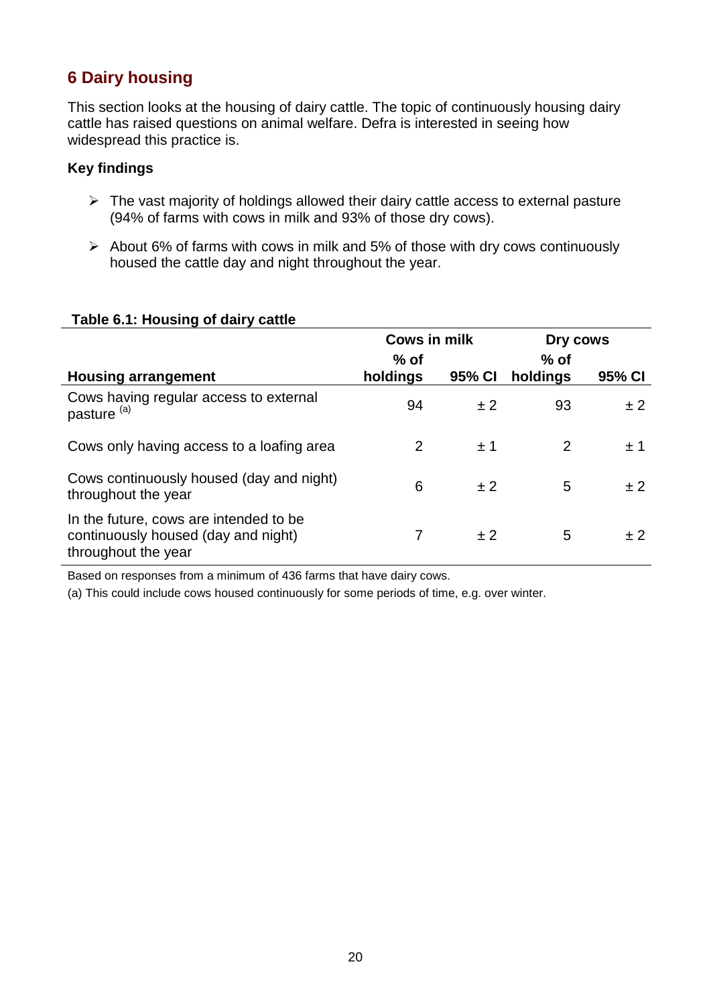# <span id="page-19-0"></span>**6 Dairy housing**

This section looks at the housing of dairy cattle. The topic of continuously housing dairy cattle has raised questions on animal welfare. Defra is interested in seeing how widespread this practice is.

## **Key findings**

- $\triangleright$  The vast majority of holdings allowed their dairy cattle access to external pasture (94% of farms with cows in milk and 93% of those dry cows).
- $\triangleright$  About 6% of farms with cows in milk and 5% of those with dry cows continuously housed the cattle day and night throughout the year.

| <b>1990 - 1990 - 1990 - 1990 - 1990 - 1990 - 1990 - 1990 - 1990 - 1990 - 1990 - 1990 - 1990 - 1990 - 1990 - 1990</b> |                     |        |                    |         |
|----------------------------------------------------------------------------------------------------------------------|---------------------|--------|--------------------|---------|
|                                                                                                                      | <b>Cows in milk</b> |        | Dry cows           |         |
| <b>Housing arrangement</b>                                                                                           | $%$ of<br>holdings  | 95% CI | $%$ of<br>holdings | 95% CI  |
| Cows having regular access to external<br>pasture <sup>(a)</sup>                                                     | 94                  | ±2     | 93                 | ± 2     |
| Cows only having access to a loafing area                                                                            | $\overline{2}$      | ±1     | 2                  | ±1      |
| Cows continuously housed (day and night)<br>throughout the year                                                      | 6                   | ± 2    | 5                  | ± 2     |
| In the future, cows are intended to be<br>continuously housed (day and night)<br>throughout the year                 |                     | ± 2    | 5                  | $\pm 2$ |

#### **Table 6.1: Housing of dairy cattle**

Based on responses from a minimum of 436 farms that have dairy cows.

(a) This could include cows housed continuously for some periods of time, e.g. over winter.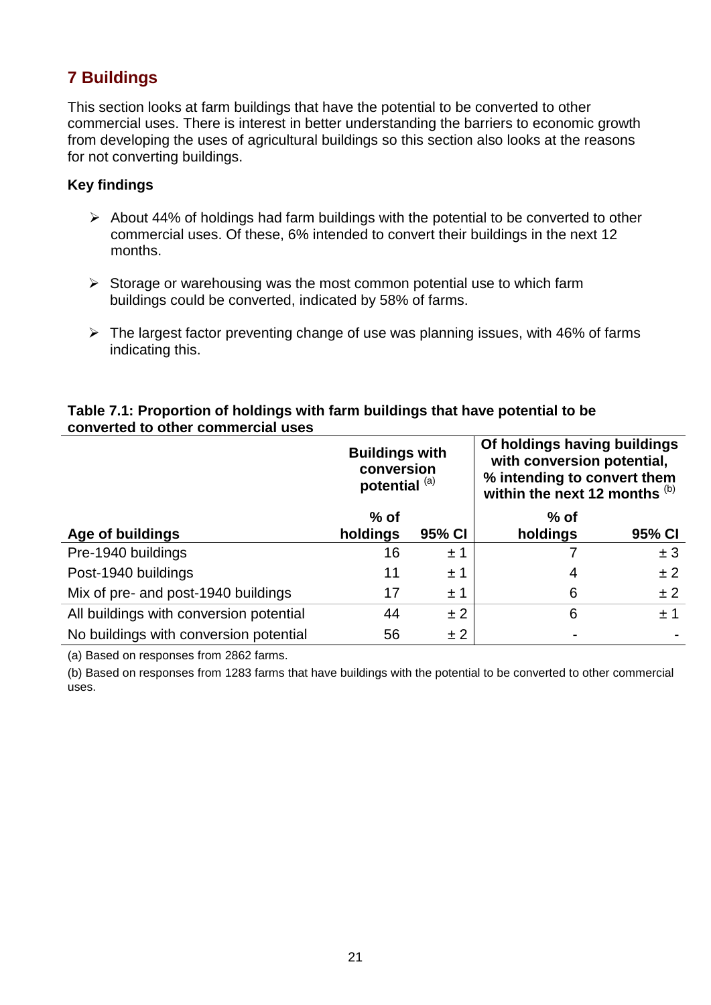# <span id="page-20-0"></span>**7 Buildings**

This section looks at farm buildings that have the potential to be converted to other commercial uses. There is interest in better understanding the barriers to economic growth from developing the uses of agricultural buildings so this section also looks at the reasons for not converting buildings.

### **Key findings**

- $\triangleright$  About 44% of holdings had farm buildings with the potential to be converted to other commercial uses. Of these, 6% intended to convert their buildings in the next 12 months.
- $\triangleright$  Storage or warehousing was the most common potential use to which farm buildings could be converted, indicated by 58% of farms.
- $\triangleright$  The largest factor preventing change of use was planning issues, with 46% of farms indicating this.

#### **Table 7.1: Proportion of holdings with farm buildings that have potential to be converted to other commercial uses**

|                                         | <b>Buildings with</b><br>conversion<br>potential <sup>(a)</sup> |        | Of holdings having buildings<br>with conversion potential,<br>% intending to convert them<br>within the next 12 months (b) |        |  |
|-----------------------------------------|-----------------------------------------------------------------|--------|----------------------------------------------------------------------------------------------------------------------------|--------|--|
|                                         | $%$ of                                                          |        | $%$ of                                                                                                                     |        |  |
| Age of buildings                        | holdings                                                        | 95% CI | holdings                                                                                                                   | 95% CI |  |
| Pre-1940 buildings                      | 16                                                              | ±1     |                                                                                                                            | ± 3    |  |
| Post-1940 buildings                     | 11                                                              | ±1     | 4                                                                                                                          | ±2     |  |
| Mix of pre- and post-1940 buildings     | 17                                                              | ±1     | 6                                                                                                                          | ±2     |  |
| All buildings with conversion potential | 44                                                              | ±2     | 6                                                                                                                          | ±1     |  |
| No buildings with conversion potential  | 56                                                              | ± 2    |                                                                                                                            |        |  |

(a) Based on responses from 2862 farms.

(b) Based on responses from 1283 farms that have buildings with the potential to be converted to other commercial uses.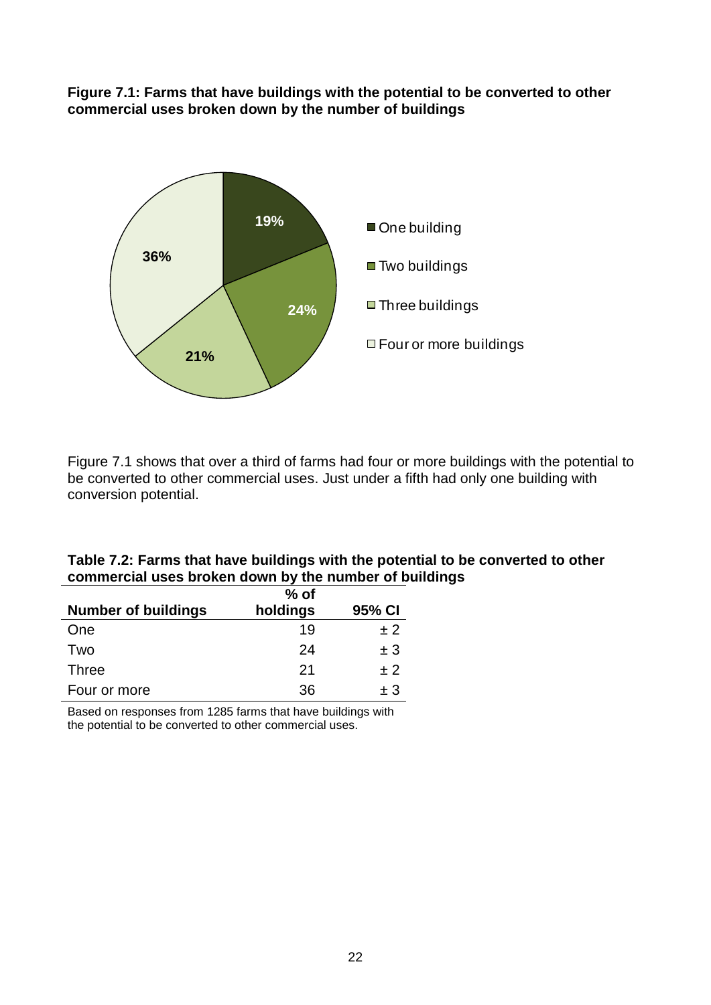#### **Figure 7.1: Farms that have buildings with the potential to be converted to other commercial uses broken down by the number of buildings**



Figure 7.1 shows that over a third of farms had four or more buildings with the potential to be converted to other commercial uses. Just under a fifth had only one building with conversion potential.

|                                                        | Table 7.2: Farms that have buildings with the potential to be converted to other |
|--------------------------------------------------------|----------------------------------------------------------------------------------|
| commercial uses broken down by the number of buildings |                                                                                  |

|                            | $%$ of   |         |
|----------------------------|----------|---------|
| <b>Number of buildings</b> | holdings | 95% CI  |
| One                        | 19       | ±2      |
| Two                        | 24       | ±3      |
| <b>Three</b>               | 21       | $+2$    |
| Four or more               | 36       | $\pm$ 3 |

Based on responses from 1285 farms that have buildings with the potential to be converted to other commercial uses.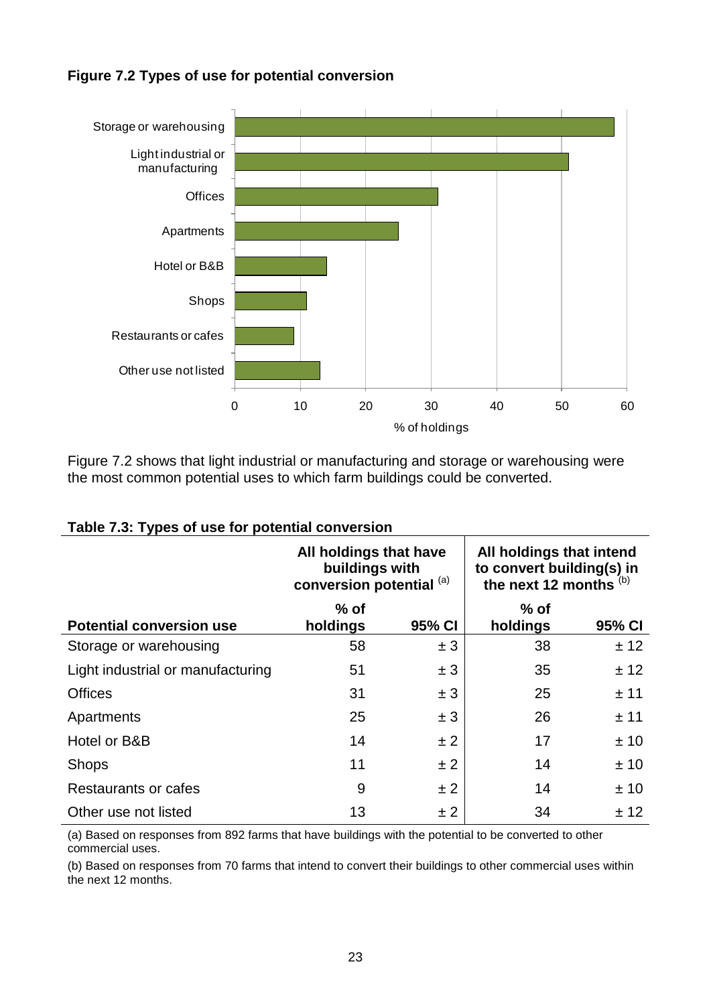

## **Figure 7.2 Types of use for potential conversion**

Figure 7.2 shows that light industrial or manufacturing and storage or warehousing were the most common potential uses to which farm buildings could be converted.

|                                   | All holdings that have<br>buildings with<br>conversion potential (a) |        | All holdings that intend<br>to convert building(s) in<br>the next 12 months (b) |        |
|-----------------------------------|----------------------------------------------------------------------|--------|---------------------------------------------------------------------------------|--------|
| <b>Potential conversion use</b>   | $%$ of<br>holdings                                                   | 95% CI | $%$ of<br>holdings                                                              | 95% CI |
| Storage or warehousing            | 58                                                                   | ± 3    | 38                                                                              | ± 12   |
| Light industrial or manufacturing | 51                                                                   | ± 3    | 35                                                                              | ± 12   |
| <b>Offices</b>                    | 31                                                                   | ± 3    | 25                                                                              | ± 11   |
| Apartments                        | 25                                                                   | ± 3    | 26                                                                              | ± 11   |
| Hotel or B&B                      | 14                                                                   | ±2     | 17                                                                              | ± 10   |
| <b>Shops</b>                      | 11                                                                   | ± 2    | 14                                                                              | ± 10   |
| Restaurants or cafes              | 9                                                                    | ±2     | 14                                                                              | ±10    |
| Other use not listed              | 13                                                                   | ± 2    | 34                                                                              | ± 12   |

#### **Table 7.3: Types of use for potential conversion**

(a) Based on responses from 892 farms that have buildings with the potential to be converted to other commercial uses.

(b) Based on responses from 70 farms that intend to convert their buildings to other commercial uses within the next 12 months.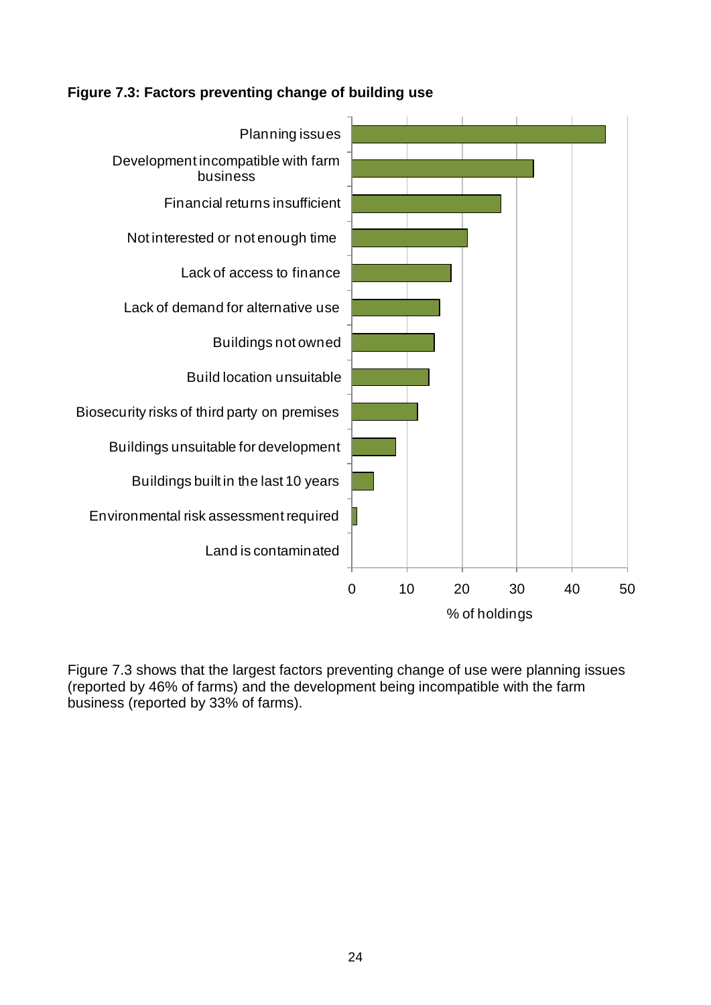## **Figure 7.3: Factors preventing change of building use**



Figure 7.3 shows that the largest factors preventing change of use were planning issues (reported by 46% of farms) and the development being incompatible with the farm business (reported by 33% of farms).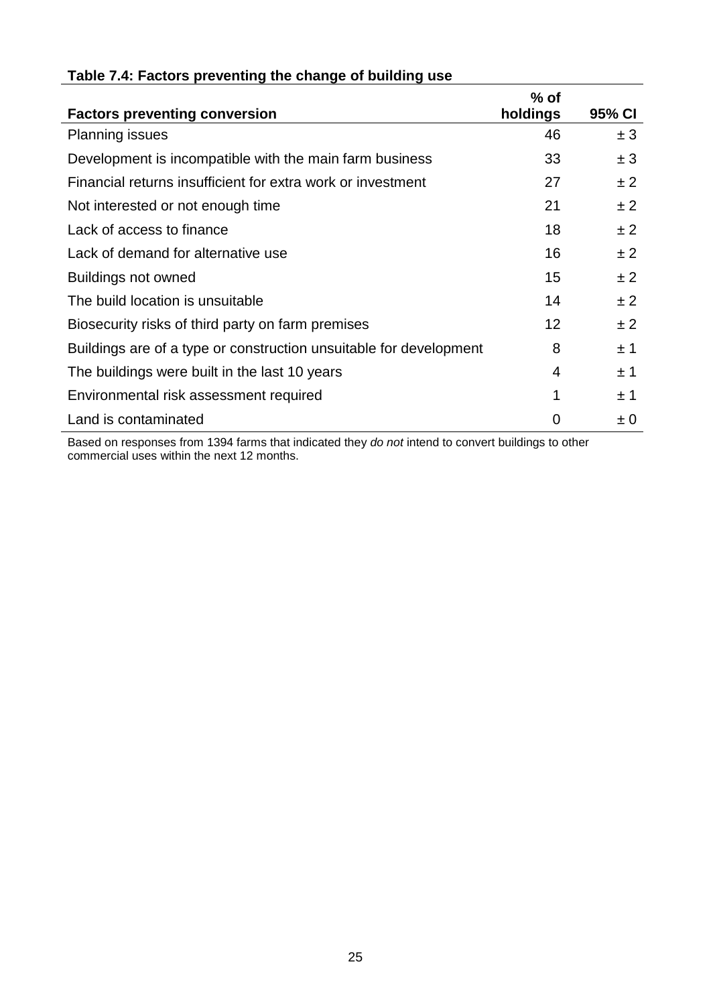| Table 7.4: Factors preventing the change of building use |
|----------------------------------------------------------|
|----------------------------------------------------------|

| <b>Factors preventing conversion</b>                               | $%$ of<br>holdings | 95% CI  |
|--------------------------------------------------------------------|--------------------|---------|
| <b>Planning issues</b>                                             | 46                 | ± 3     |
| Development is incompatible with the main farm business            | 33                 | ± 3     |
| Financial returns insufficient for extra work or investment        | 27                 | ± 2     |
| Not interested or not enough time                                  | 21                 | ± 2     |
| Lack of access to finance                                          | 18                 | ± 2     |
| Lack of demand for alternative use                                 | 16                 | ± 2     |
| Buildings not owned                                                | 15                 | ± 2     |
| The build location is unsuitable                                   | 14                 | ± 2     |
| Biosecurity risks of third party on farm premises                  | 12                 | ± 2     |
| Buildings are of a type or construction unsuitable for development | 8                  | ±1      |
| The buildings were built in the last 10 years                      | 4                  | ±1      |
| Environmental risk assessment required                             | 1                  | ±1      |
| Land is contaminated                                               | 0                  | $\pm 0$ |

Based on responses from 1394 farms that indicated they *do not* intend to convert buildings to other commercial uses within the next 12 months.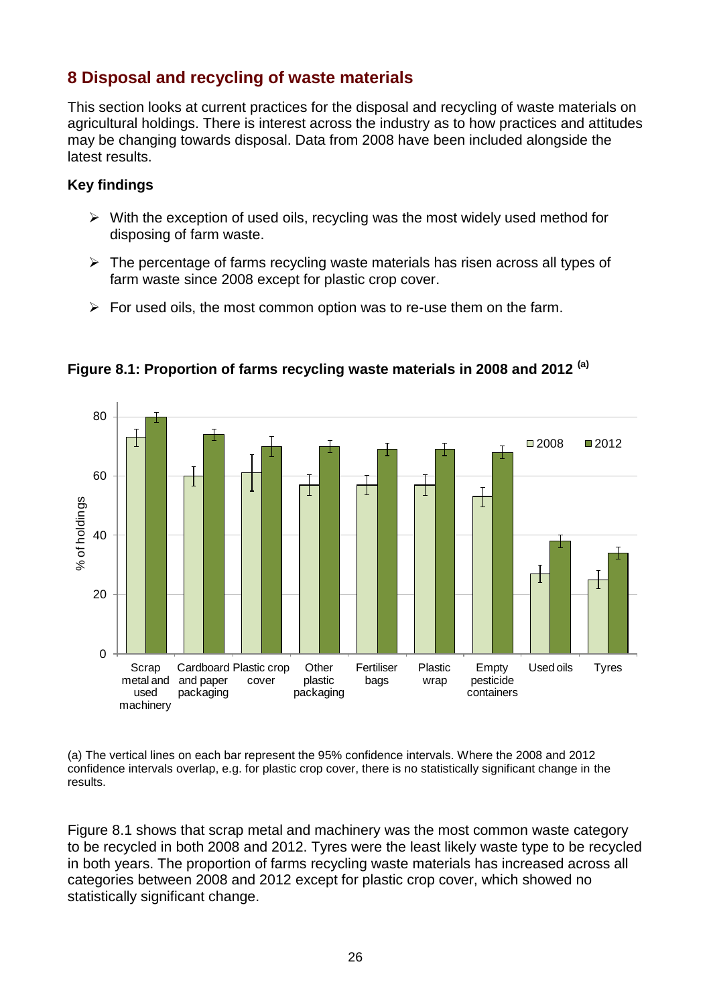## <span id="page-25-0"></span>**8 Disposal and recycling of waste materials**

This section looks at current practices for the disposal and recycling of waste materials on agricultural holdings. There is interest across the industry as to how practices and attitudes may be changing towards disposal. Data from 2008 have been included alongside the latest results.

### **Key findings**

- $\triangleright$  With the exception of used oils, recycling was the most widely used method for disposing of farm waste.
- $\triangleright$  The percentage of farms recycling waste materials has risen across all types of farm waste since 2008 except for plastic crop cover.
- $\triangleright$  For used oils, the most common option was to re-use them on the farm.



**Figure 8.1: Proportion of farms recycling waste materials in 2008 and 2012 (a)**

(a) The vertical lines on each bar represent the 95% confidence intervals. Where the 2008 and 2012 confidence intervals overlap, e.g. for plastic crop cover, there is no statistically significant change in the results.

Figure 8.1 shows that scrap metal and machinery was the most common waste category to be recycled in both 2008 and 2012. Tyres were the least likely waste type to be recycled in both years. The proportion of farms recycling waste materials has increased across all categories between 2008 and 2012 except for plastic crop cover, which showed no statistically significant change.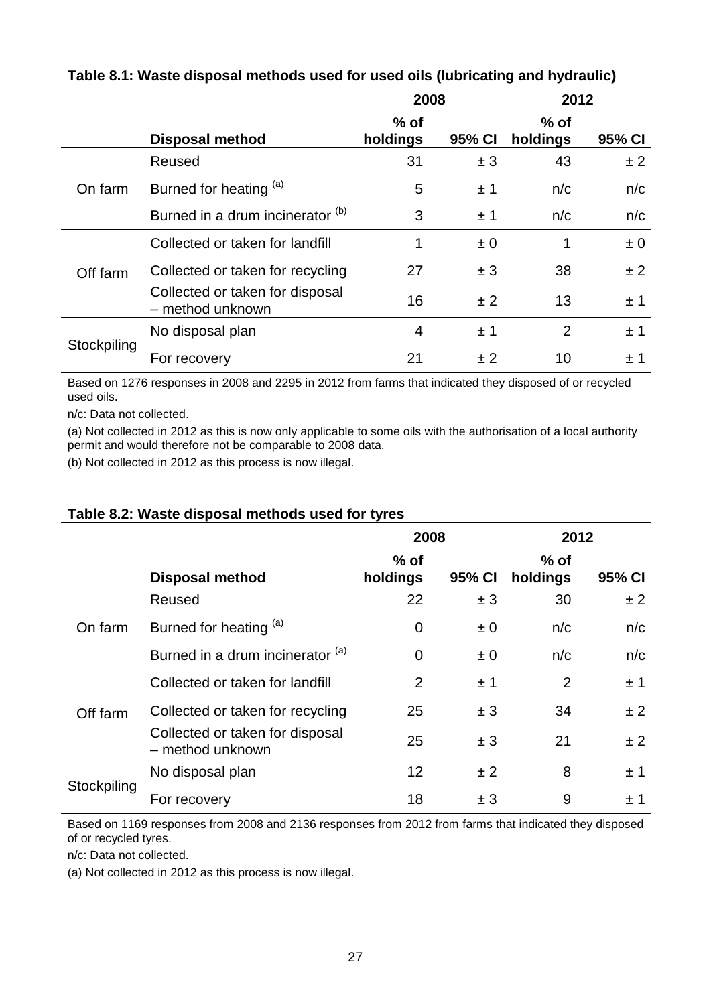|             |                                                     | 2008               |         | 2012               |         |
|-------------|-----------------------------------------------------|--------------------|---------|--------------------|---------|
|             | <b>Disposal method</b>                              | $%$ of<br>holdings | 95% CI  | $%$ of<br>holdings | 95% CI  |
|             | Reused                                              | 31                 | ± 3     | 43                 | ± 2     |
| On farm     | Burned for heating (a)                              | 5                  | ±1      | n/c                | n/c     |
|             | Burned in a drum incinerator (b)                    | 3                  | ±1      | n/c                | n/c     |
|             | Collected or taken for landfill                     | 1                  | $\pm 0$ | 1                  | $\pm 0$ |
| Off farm    | Collected or taken for recycling                    | 27                 | ± 3     | 38                 | ±2      |
|             | Collected or taken for disposal<br>- method unknown | 16                 | ±2      | 13                 | ±1      |
|             | No disposal plan                                    | 4                  | ±1      | 2                  | ±1      |
| Stockpiling | For recovery                                        | 21                 | ± 2     | 10                 | ± 1     |

### **Table 8.1: Waste disposal methods used for used oils (lubricating and hydraulic)**

Based on 1276 responses in 2008 and 2295 in 2012 from farms that indicated they disposed of or recycled used oils.

n/c: Data not collected.

(a) Not collected in 2012 as this is now only applicable to some oils with the authorisation of a local authority permit and would therefore not be comparable to 2008 data.

(b) Not collected in 2012 as this process is now illegal.

#### **Table 8.2: Waste disposal methods used for tyres**

|             |                                                     | 2008               |         | 2012               |        |
|-------------|-----------------------------------------------------|--------------------|---------|--------------------|--------|
|             | <b>Disposal method</b>                              | $%$ of<br>holdings | 95% CI  | $%$ of<br>holdings | 95% CI |
|             | Reused                                              | 22                 | ± 3     | 30                 | ±2     |
| On farm     | Burned for heating (a)                              | $\overline{0}$     | $\pm 0$ | n/c                | n/c    |
|             | Burned in a drum incinerator (a)                    | 0                  | $\pm 0$ | n/c                | n/c    |
|             | Collected or taken for landfill                     | $\overline{2}$     | ±1      | $\overline{2}$     | ±1     |
| Off farm    | Collected or taken for recycling                    | 25                 | ± 3     | 34                 | ±2     |
|             | Collected or taken for disposal<br>- method unknown | 25                 | ±3      | 21                 | ±2     |
|             | No disposal plan                                    | 12                 | ±2      | 8                  | ±1     |
| Stockpiling | For recovery                                        | 18                 | ±3      | 9                  | ± 1    |

Based on 1169 responses from 2008 and 2136 responses from 2012 from farms that indicated they disposed of or recycled tyres.

n/c: Data not collected.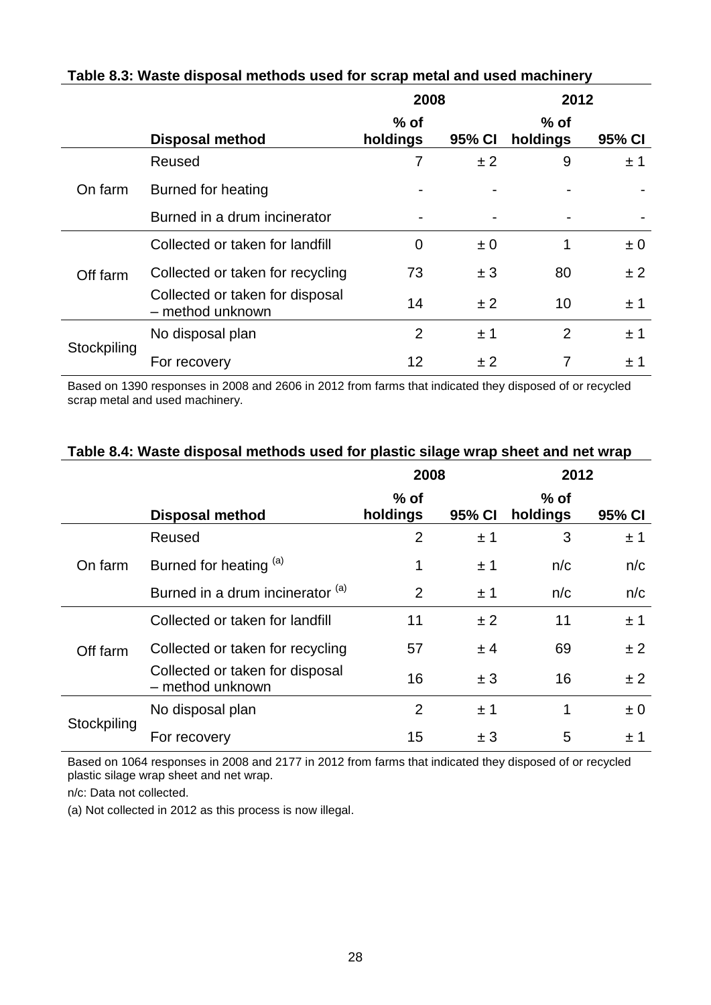|             |                                                     | 2008               |         | 2012               |         |
|-------------|-----------------------------------------------------|--------------------|---------|--------------------|---------|
|             | <b>Disposal method</b>                              | $%$ of<br>holdings | 95% CI  | $%$ of<br>holdings | 95% CI  |
|             | Reused                                              | 7                  | ±2      | 9                  | ±1      |
| On farm     | Burned for heating                                  |                    |         |                    |         |
|             | Burned in a drum incinerator                        |                    |         |                    |         |
|             | Collected or taken for landfill                     | 0                  | $\pm 0$ | 1                  | $\pm 0$ |
| Off farm    | Collected or taken for recycling                    | 73                 | ± 3     | 80                 | ±2      |
|             | Collected or taken for disposal<br>- method unknown | 14                 | ±2      | 10                 | ±1      |
|             | No disposal plan                                    | $\overline{2}$     | ±1      | $\overline{2}$     | ±1      |
| Stockpiling | For recovery                                        | 12                 | ± 2     |                    | ± 1     |

### **Table 8.3: Waste disposal methods used for scrap metal and used machinery**

Based on 1390 responses in 2008 and 2606 in 2012 from farms that indicated they disposed of or recycled scrap metal and used machinery.

|             | 2008                                                |                    | 2012   |                    |         |
|-------------|-----------------------------------------------------|--------------------|--------|--------------------|---------|
|             | <b>Disposal method</b>                              | $%$ of<br>holdings | 95% CI | $%$ of<br>holdings | 95% CI  |
|             | Reused                                              | $\overline{2}$     | ±1     | 3                  | ±1      |
| On farm     | Burned for heating (a)                              | 1                  | ±1     | n/c                | n/c     |
|             | Burned in a drum incinerator (a)                    | 2                  | ±1     | n/c                | n/c     |
|             | Collected or taken for landfill                     | 11                 | ±2     | 11                 | ±1      |
| Off farm    | Collected or taken for recycling                    | 57                 | ± 4    | 69                 | ± 2     |
|             | Collected or taken for disposal<br>- method unknown | 16                 | ± 3    | 16                 | ±2      |
|             | No disposal plan                                    | $\overline{2}$     | ±1     | 1                  | $\pm 0$ |
| Stockpiling | For recovery                                        | 15                 | ± 3    | 5                  | ± 1     |

#### **Table 8.4: Waste disposal methods used for plastic silage wrap sheet and net wrap**

Based on 1064 responses in 2008 and 2177 in 2012 from farms that indicated they disposed of or recycled plastic silage wrap sheet and net wrap.

n/c: Data not collected.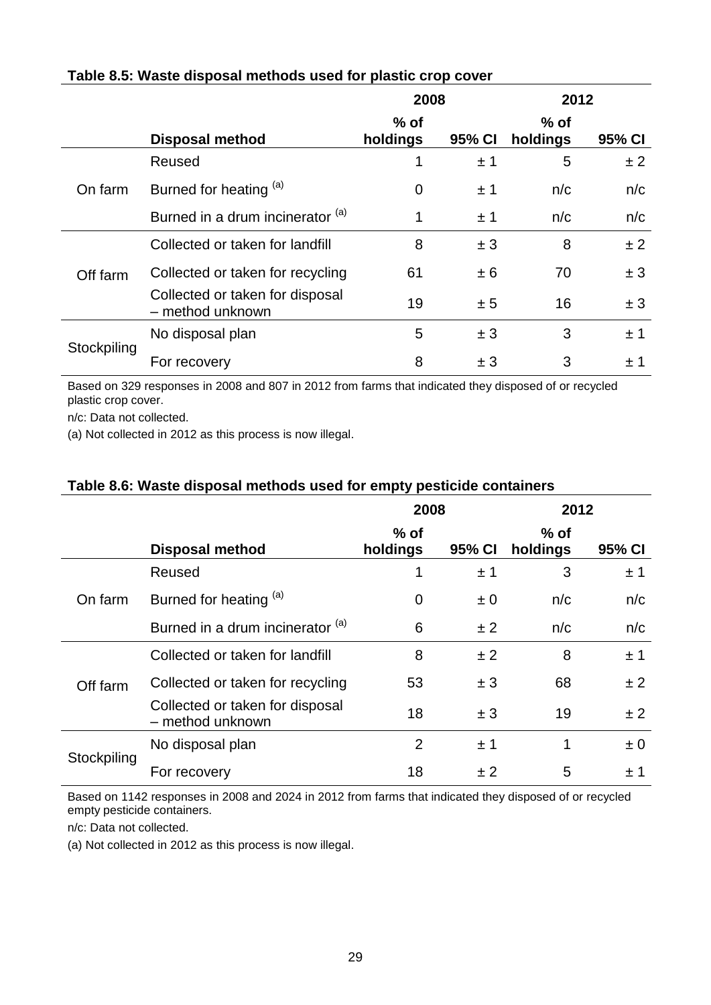|             |                                                     | 2008               |        | 2012               |        |
|-------------|-----------------------------------------------------|--------------------|--------|--------------------|--------|
|             | <b>Disposal method</b>                              | $%$ of<br>holdings | 95% CI | $%$ of<br>holdings | 95% CI |
|             | Reused                                              |                    | ±1     | 5                  | ±2     |
| On farm     | Burned for heating (a)                              | 0                  | ±1     | n/c                | n/c    |
|             | Burned in a drum incinerator (a)                    | 1                  | ±1     | n/c                | n/c    |
|             | Collected or taken for landfill                     | 8                  | ± 3    | 8                  | ±2     |
| Off farm    | Collected or taken for recycling                    | 61                 | ± 6    | 70                 | ± 3    |
|             | Collected or taken for disposal<br>- method unknown | 19                 | ± 5    | 16                 | ± 3    |
|             | No disposal plan                                    | 5                  | ± 3    | 3                  | ±1     |
| Stockpiling | For recovery                                        | 8                  | ± 3    | 3                  | ± 1    |

## **Table 8.5: Waste disposal methods used for plastic crop cover**

Based on 329 responses in 2008 and 807 in 2012 from farms that indicated they disposed of or recycled plastic crop cover.

n/c: Data not collected.

(a) Not collected in 2012 as this process is now illegal.

#### **Table 8.6: Waste disposal methods used for empty pesticide containers**

|             |                                                     | 2008               |         | 2012               |         |
|-------------|-----------------------------------------------------|--------------------|---------|--------------------|---------|
|             | <b>Disposal method</b>                              | $%$ of<br>holdings | 95% CI  | $%$ of<br>holdings | 95% CI  |
|             | Reused                                              | 1                  | ±1      | 3                  | ±1      |
| On farm     | Burned for heating (a)                              | 0                  | $\pm 0$ | n/c                | n/c     |
|             | Burned in a drum incinerator (a)                    | 6                  | ±2      | n/c                | n/c     |
|             | Collected or taken for landfill                     | 8                  | ±2      | 8                  | ±1      |
| Off farm    | Collected or taken for recycling                    | 53                 | ± 3     | 68                 | ±2      |
|             | Collected or taken for disposal<br>- method unknown | 18                 | ±3      | 19                 | ± 2     |
| Stockpiling | No disposal plan                                    | $\overline{2}$     | ±1      | 1                  | $\pm 0$ |
|             | For recovery                                        | 18                 | ± 2     | 5                  | ±1      |

Based on 1142 responses in 2008 and 2024 in 2012 from farms that indicated they disposed of or recycled empty pesticide containers.

n/c: Data not collected.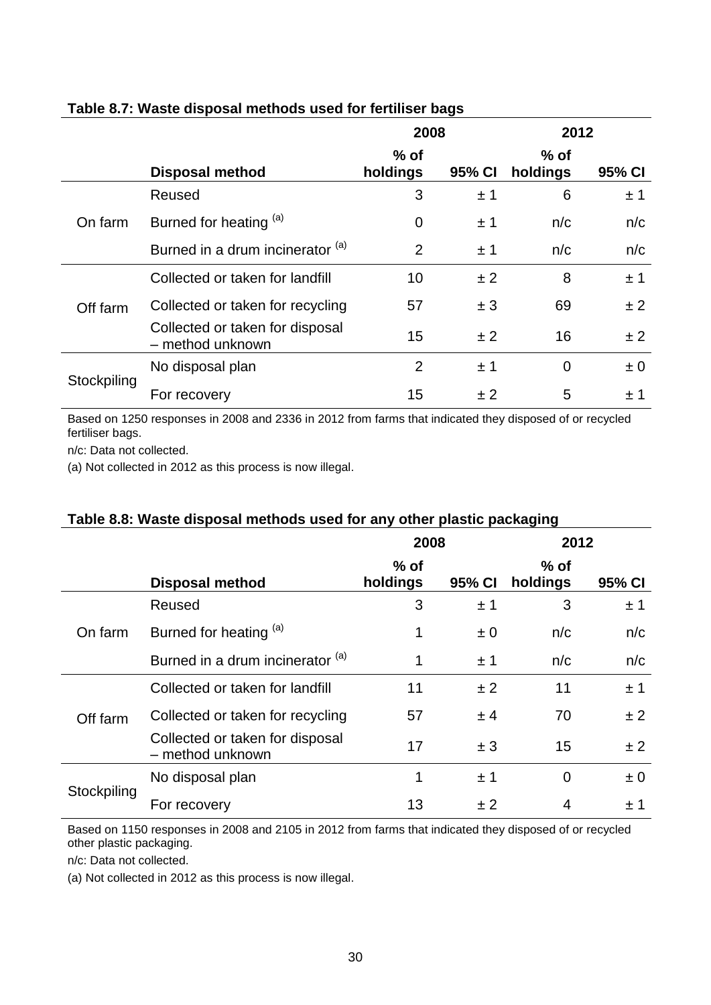|             |                                                     | 2008               |        | 2012               |         |
|-------------|-----------------------------------------------------|--------------------|--------|--------------------|---------|
|             | <b>Disposal method</b>                              | $%$ of<br>holdings | 95% CI | $%$ of<br>holdings | 95% CI  |
|             | Reused                                              | 3                  | ±1     | 6                  | ±1      |
| On farm     | Burned for heating (a)                              | $\overline{0}$     | ±1     | n/c                | n/c     |
|             | Burned in a drum incinerator (a)                    | $\overline{2}$     | ±1     | n/c                | n/c     |
|             | Collected or taken for landfill                     | 10                 | ±2     | 8                  | ±1      |
| Off farm    | Collected or taken for recycling                    | 57                 | ± 3    | 69                 | ± 2     |
|             | Collected or taken for disposal<br>- method unknown | 15                 | ±2     | 16                 | ± 2     |
|             | No disposal plan                                    | $\overline{2}$     | ±1     | $\overline{0}$     | $\pm 0$ |
| Stockpiling | For recovery                                        | 15                 | ± 2    | 5                  | ±1      |

## **Table 8.7: Waste disposal methods used for fertiliser bags**

Based on 1250 responses in 2008 and 2336 in 2012 from farms that indicated they disposed of or recycled fertiliser bags.

n/c: Data not collected.

(a) Not collected in 2012 as this process is now illegal.

## **Table 8.8: Waste disposal methods used for any other plastic packaging**

|             |                                                     | 2008               |         | 2012               |         |
|-------------|-----------------------------------------------------|--------------------|---------|--------------------|---------|
|             | <b>Disposal method</b>                              | $%$ of<br>holdings | 95% CI  | $%$ of<br>holdings | 95% CI  |
|             | Reused                                              | 3                  | $\pm$ 1 | 3                  | ± 1     |
| On farm     | Burned for heating (a)                              | 1                  | $\pm 0$ | n/c                | n/c     |
|             | Burned in a drum incinerator (a)                    | 1                  | ±1      | n/c                | n/c     |
|             | Collected or taken for landfill                     | 11                 | ± 2     | 11                 | ±1      |
| Off farm    | Collected or taken for recycling                    | 57                 | ± 4     | 70                 | ± 2     |
|             | Collected or taken for disposal<br>- method unknown | 17                 | ± 3     | 15                 | ±2      |
| Stockpiling | No disposal plan                                    | 1                  | ±1      | $\overline{0}$     | $\pm 0$ |
|             | For recovery                                        | 13                 | ± 2     | 4                  | ±1      |

Based on 1150 responses in 2008 and 2105 in 2012 from farms that indicated they disposed of or recycled other plastic packaging.

n/c: Data not collected.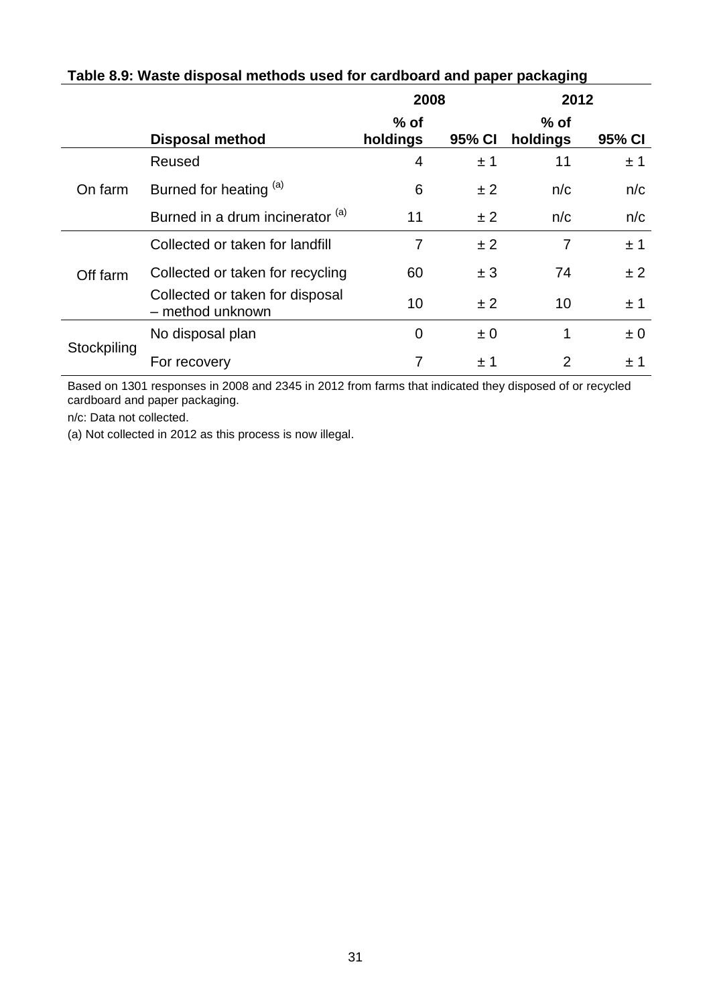|             |                                                     | 2008               |         | 2012               |         |
|-------------|-----------------------------------------------------|--------------------|---------|--------------------|---------|
|             | <b>Disposal method</b>                              | $%$ of<br>holdings | 95% CI  | $%$ of<br>holdings | 95% CI  |
|             | Reused                                              | 4                  | ±1      | 11                 | ±1      |
| On farm     | Burned for heating (a)                              | 6                  | ±2      | n/c                | n/c     |
|             | Burned in a drum incinerator (a)                    | 11                 | ±2      | n/c                | n/c     |
|             | Collected or taken for landfill                     | 7                  | ±2      | 7                  | ±1      |
| Off farm    | Collected or taken for recycling                    | 60                 | ± 3     | 74                 | ± 2     |
|             | Collected or taken for disposal<br>- method unknown | 10                 | ±2      | 10                 | ±1      |
| Stockpiling | No disposal plan                                    | $\overline{0}$     | $\pm 0$ | 1                  | $\pm 0$ |
|             | For recovery                                        |                    | $\pm$ 1 | 2                  | ±1      |

## **Table 8.9: Waste disposal methods used for cardboard and paper packaging**

Based on 1301 responses in 2008 and 2345 in 2012 from farms that indicated they disposed of or recycled cardboard and paper packaging.

n/c: Data not collected.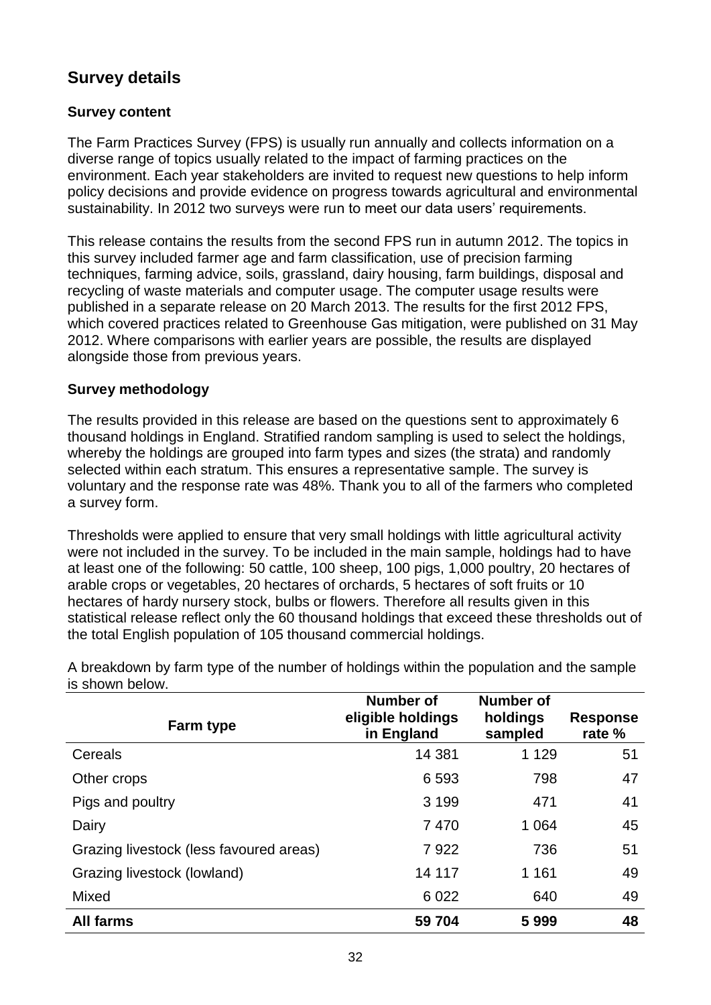# **Survey details**

### **Survey content**

The Farm Practices Survey (FPS) is usually run annually and collects information on a diverse range of topics usually related to the impact of farming practices on the environment. Each year stakeholders are invited to request new questions to help inform policy decisions and provide evidence on progress towards agricultural and environmental sustainability. In 2012 two surveys were run to meet our data users' requirements.

This release contains the results from the second FPS run in autumn 2012. The topics in this survey included farmer age and farm classification, use of precision farming techniques, farming advice, soils, grassland, dairy housing, farm buildings, disposal and recycling of waste materials and computer usage. The computer usage results were published in a separate release on 20 March 2013. The results for the first 2012 FPS, which covered practices related to Greenhouse Gas mitigation, were published on 31 May 2012. Where comparisons with earlier years are possible, the results are displayed alongside those from previous years.

#### **Survey methodology**

The results provided in this release are based on the questions sent to approximately 6 thousand holdings in England. Stratified random sampling is used to select the holdings, whereby the holdings are grouped into farm types and sizes (the strata) and randomly selected within each stratum. This ensures a representative sample. The survey is voluntary and the response rate was 48%. Thank you to all of the farmers who completed a survey form.

Thresholds were applied to ensure that very small holdings with little agricultural activity were not included in the survey. To be included in the main sample, holdings had to have at least one of the following: 50 cattle, 100 sheep, 100 pigs, 1,000 poultry, 20 hectares of arable crops or vegetables, 20 hectares of orchards, 5 hectares of soft fruits or 10 hectares of hardy nursery stock, bulbs or flowers. Therefore all results given in this statistical release reflect only the 60 thousand holdings that exceed these thresholds out of the total English population of 105 thousand commercial holdings.

| <b>Farm type</b>                        | Number of<br>eligible holdings<br>in England | <b>Number of</b><br>holdings<br>sampled | <b>Response</b><br>rate % |
|-----------------------------------------|----------------------------------------------|-----------------------------------------|---------------------------|
| Cereals                                 | 14 381                                       | 1 1 2 9                                 | 51                        |
| Other crops                             | 6593                                         | 798                                     | 47                        |
| Pigs and poultry                        | 3 1 9 9                                      | 471                                     | 41                        |
| Dairy                                   | 7470                                         | 1 0 6 4                                 | 45                        |
| Grazing livestock (less favoured areas) | 7922                                         | 736                                     | 51                        |
| Grazing livestock (lowland)             | 14 117                                       | 1 1 6 1                                 | 49                        |
| Mixed                                   | 6 0 22                                       | 640                                     | 49                        |
| <b>All farms</b>                        | 59 704                                       | 5999                                    | 48                        |

A breakdown by farm type of the number of holdings within the population and the sample is shown below.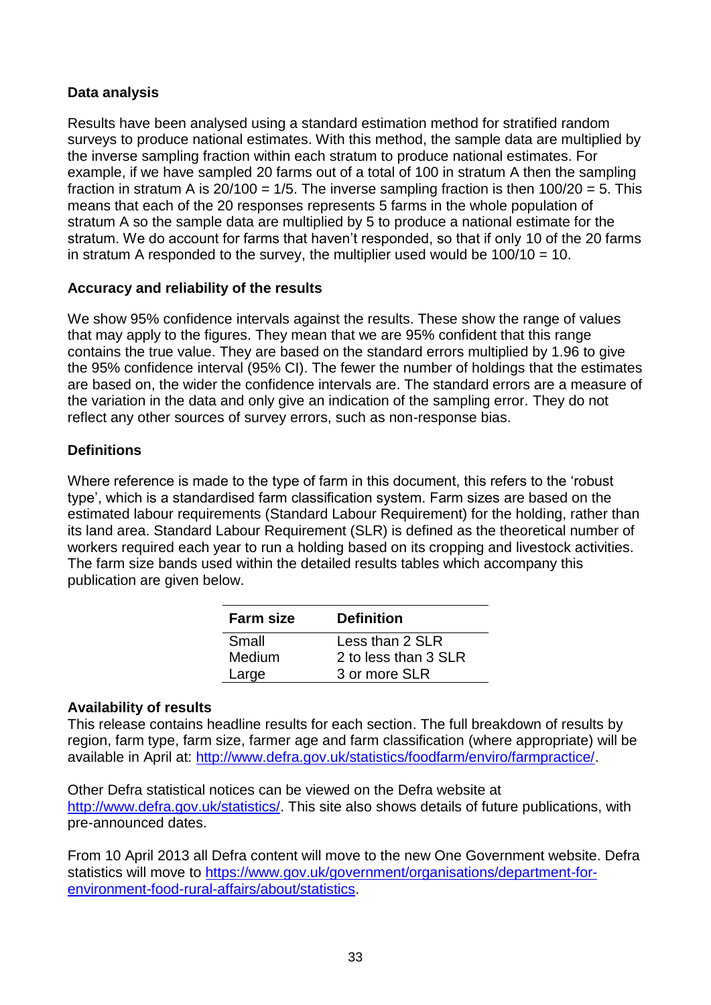## <span id="page-32-0"></span>**Data analysis**

Results have been analysed using a standard estimation method for stratified random surveys to produce national estimates. With this method, the sample data are multiplied by the inverse sampling fraction within each stratum to produce national estimates. For example, if we have sampled 20 farms out of a total of 100 in stratum A then the sampling fraction in stratum A is  $20/100 = 1/5$ . The inverse sampling fraction is then  $100/20 = 5$ . This means that each of the 20 responses represents 5 farms in the whole population of stratum A so the sample data are multiplied by 5 to produce a national estimate for the stratum. We do account for farms that haven't responded, so that if only 10 of the 20 farms in stratum A responded to the survey, the multiplier used would be  $100/10 = 10$ .

## **Accuracy and reliability of the results**

We show 95% confidence intervals against the results. These show the range of values that may apply to the figures. They mean that we are 95% confident that this range contains the true value. They are based on the standard errors multiplied by 1.96 to give the 95% confidence interval (95% CI). The fewer the number of holdings that the estimates are based on, the wider the confidence intervals are. The standard errors are a measure of the variation in the data and only give an indication of the sampling error. They do not reflect any other sources of survey errors, such as non-response bias.

## **Definitions**

Where reference is made to the type of farm in this document, this refers to the 'robust type', which is a standardised farm classification system. Farm sizes are based on the estimated labour requirements (Standard Labour Requirement) for the holding, rather than its land area. Standard Labour Requirement (SLR) is defined as the theoretical number of workers required each year to run a holding based on its cropping and livestock activities. The farm size bands used within the detailed results tables which accompany this publication are given below.

| <b>Farm size</b> | <b>Definition</b>    |
|------------------|----------------------|
| Small            | Less than 2 SLR      |
| Medium           | 2 to less than 3 SLR |
| Large            | 3 or more SLR        |

## **Availability of results**

This release contains headline results for each section. The full breakdown of results by region, farm type, farm size, farmer age and farm classification (where appropriate) will be available in April at: [http://www.defra.gov.uk/statistics/foodfarm/enviro/farmpractice/.](http://www.defra.gov.uk/statistics/foodfarm/enviro/farmpractice/)

Other Defra statistical notices can be viewed on the Defra website at [http://www.defra.gov.uk/statistics/.](http://www.defra.gov.uk/statistics/) This site also shows details of future publications, with pre-announced dates.

From 10 April 2013 all Defra content will move to the new One Government website. Defra statistics will move to [https://www.gov.uk/government/organisations/department-for](https://www.gov.uk/government/organisations/department-for-environment-food-rural-affairs/about/statistics)[environment-food-rural-affairs/about/statistics.](https://www.gov.uk/government/organisations/department-for-environment-food-rural-affairs/about/statistics)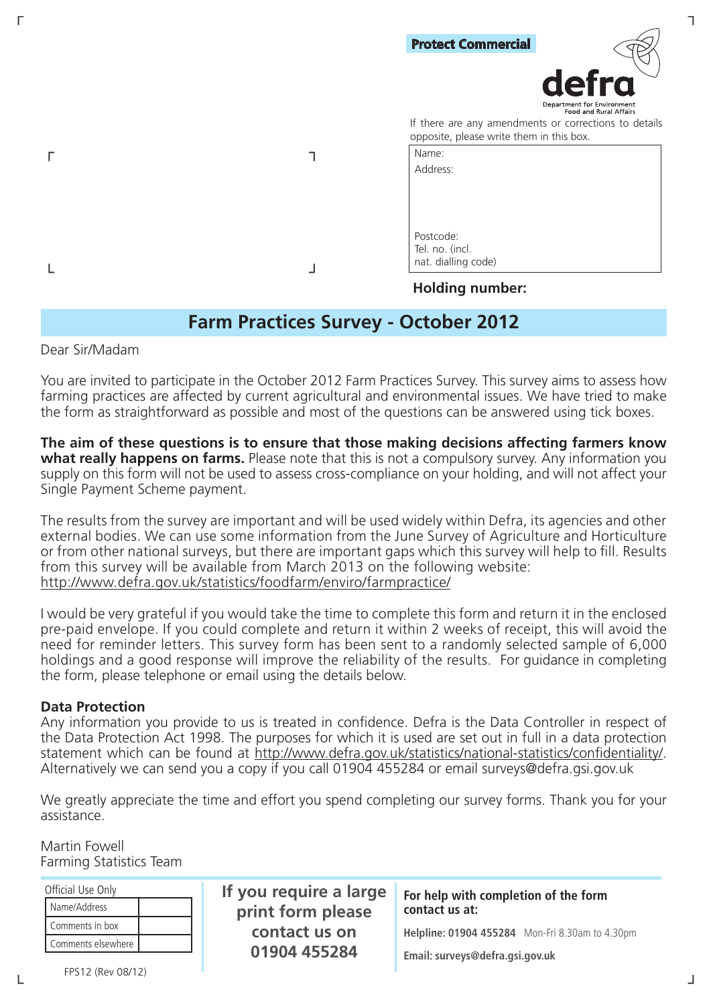| <b>Protect Commercial</b><br>defra                                                                |  |
|---------------------------------------------------------------------------------------------------|--|
|                                                                                                   |  |
|                                                                                                   |  |
| Department for Environment<br>Food and Rural Affairs                                              |  |
| If there are any amendments or corrections to details<br>opposite, please write them in this box. |  |
| Name:                                                                                             |  |
| Address:                                                                                          |  |
|                                                                                                   |  |
|                                                                                                   |  |
|                                                                                                   |  |
| Postcode:                                                                                         |  |
| Tel. no. (incl.                                                                                   |  |
| nat. dialling code)                                                                               |  |

#### **Holding number:**

# **Farm Practices Survey - October 2012**

Dear Sir/Madam

└ ┘

You are invited to participate in the October 2012 Farm Practices Survey. This survey aims to assess how farming practices are affected by current agricultural and environmental issues. We have tried to make the form as straightforward as possible and most of the questions can be answered using tick boxes.

**The aim of these questions is to ensure that those making decisions affecting farmers know what really happens on farms.** Please note that this is not a compulsory survey. Any information you supply on this form will not be used to assess cross-compliance on your holding, and will not affect your Single Payment Scheme payment.

The results from the survey are important and will be used widely within Defra, its agencies and other external bodies. We can use some information from the June Survey of Agriculture and Horticulture or from other national surveys, but there are important gaps which this survey will help to fill. Results from this survey will be available from March 2013 on the following website: http://www.defra.gov.uk/statistics/foodfarm/enviro/farmpractice/

I would be very grateful if you would take the time to complete this form and return it in the enclosed pre-paid envelope. If you could complete and return it within 2 weeks of receipt, this will avoid the need for reminder letters. This survey form has been sent to a randomly selected sample of 6,000 holdings and a good response will improve the reliability of the results. For guidance in completing the form, please telephone or email using the details below.

#### **Data Protection**

Any information you provide to us is treated in confidence. Defra is the Data Controller in respect of the Data Protection Act 1998. The purposes for which it is used are set out in full in a data protection statement which can be found at http://www.defra.gov.uk/statistics/national-statistics/confidentiality/. Alternatively we can send you a copy if you call 01904 455284 or email surveys@defra.gsi.gov.uk

We greatly appreciate the time and effort you spend completing our survey forms. Thank you for your assistance.

Martin Fowell Farming Statistics Team

| Official Use Only  | If you require a large | For help with completion of the form            |
|--------------------|------------------------|-------------------------------------------------|
| Name/Address       | print form please      | contact us at:                                  |
| Comments in box    | contact us on          | Helpline: 01904 455284 Mon-Fri 8.30am to 4.30pm |
| Comments elsewhere | 01904 455284           |                                                 |
|                    |                        | Email: surveys@defra.gsi.gov.uk                 |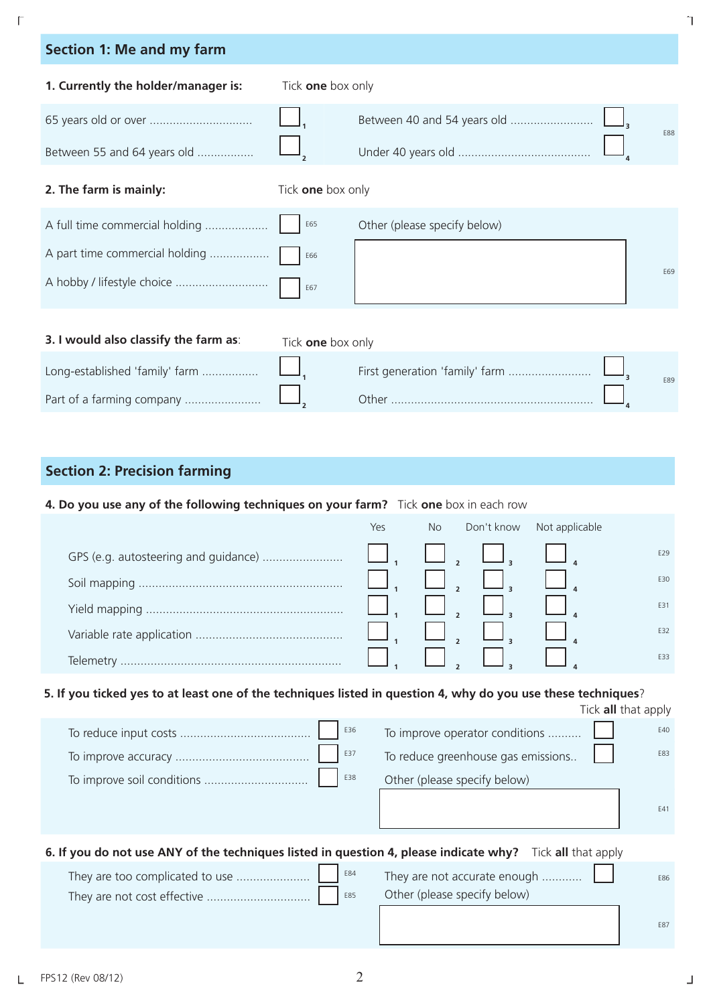| <b>Section 1: Me and my farm</b>      |                   |                              |            |
|---------------------------------------|-------------------|------------------------------|------------|
| 1. Currently the holder/manager is:   | Tick one box only |                              |            |
|                                       |                   |                              | <b>F88</b> |
| Between 55 and 64 years old           |                   |                              |            |
| 2. The farm is mainly:                | Tick one box only |                              |            |
| A full time commercial holding        | E65               | Other (please specify below) |            |
| A part time commercial holding        | E66               |                              |            |
| A hobby / lifestyle choice            | E67               |                              | F69        |
| 3. I would also classify the farm as: |                   |                              |            |
|                                       | Tick one box only |                              |            |
| Long-established 'family' farm        |                   |                              | F89        |

## **Section 2: Precision farming**

### **4. Do you use any of the following techniques on your farm?** Tick **one** box in each row

Part of a farming company ....................... **<sup>2</sup>** Other ............................................................. **<sup>4</sup>**

|           | Yes | <b>No</b> | Don't know | Not applicable |     |
|-----------|-----|-----------|------------|----------------|-----|
|           |     |           |            |                | E29 |
|           |     |           |            |                | E30 |
|           |     |           |            |                | E31 |
|           |     |           |            |                | E32 |
| Telemetry |     |           |            |                | E33 |

## **5. If you ticked yes to at least one of the techniques listed in question 4, why do you use these techniques**?

|                                   |                                    | Tick all that apply |
|-----------------------------------|------------------------------------|---------------------|
| E36                               | To improve operator conditions     | E40                 |
| E37                               | To reduce greenhouse gas emissions | E83                 |
| E38<br>To improve soil conditions | Other (please specify below)       |                     |
|                                   |                                    | F41                 |

| 6. If you do not use ANY of the techniques listed in question 4, please indicate why? Tick all that apply |                                                              |            |
|-----------------------------------------------------------------------------------------------------------|--------------------------------------------------------------|------------|
|                                                                                                           | They are not accurate enough<br>Other (please specify below) | E86        |
|                                                                                                           |                                                              | <b>F87</b> |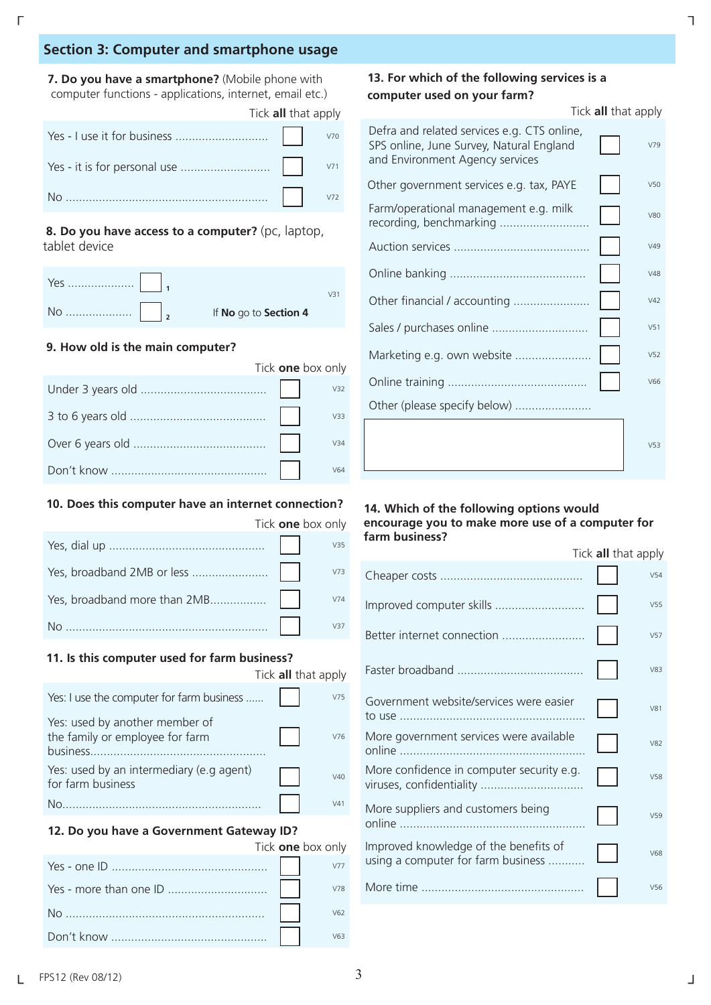#### **Section 3: Computer and smartphone usage**

**7. Do you have a smartphone?** (Mobile phone with computer functions - applications, internet, email etc.)

| Tick <b>all</b> that apply |  |
|----------------------------|--|
|                            |  |
|                            |  |
|                            |  |

**8. Do you have access to a computer?** (pc, laptop, tablet device

|  | If No go to Section 4 |  |
|--|-----------------------|--|

#### **9. How old is the main computer?**

|  | Tick one box only |
|--|-------------------|
|  | V32               |
|  | V33               |
|  | V34               |
|  | V64               |

#### **10. Does this computer have an internet connection?**

|  | Tick <b>one</b> box only |
|--|--------------------------|
|  | V35                      |
|  | V73                      |
|  | V74                      |
|  | V37                      |

#### **11. Is this computer used for farm business?**

|                                                                   | Tick all that apply |
|-------------------------------------------------------------------|---------------------|
| Yes: I use the computer for farm business                         | V75                 |
| Yes: used by another member of<br>the family or employee for farm | V76                 |
| Yes: used by an intermediary (e.g agent)<br>for farm business     | V40                 |
| .                                                                 | V41                 |

#### **12. Do you have a Government Gateway ID?**

| Tick one box only |     |
|-------------------|-----|
|                   |     |
|                   | V78 |
|                   | V62 |
|                   | V63 |

#### **13. For which of the following services is a computer used on your farm?**

|                                                                                                                            | Tick all that apply |
|----------------------------------------------------------------------------------------------------------------------------|---------------------|
| Defra and related services e.g. CTS online,<br>SPS online, June Survey, Natural England<br>and Environment Agency services | V79                 |
| Other government services e.g. tax, PAYE                                                                                   | V50                 |
| Farm/operational management e.g. milk<br>recording, benchmarking                                                           | <b>V80</b>          |
|                                                                                                                            | V49                 |
|                                                                                                                            | V48                 |
| Other financial / accounting                                                                                               | V42                 |
| Sales / purchases online                                                                                                   | V <sub>51</sub>     |
| Marketing e.g. own website                                                                                                 | V <sub>52</sub>     |
|                                                                                                                            | V66                 |
| Other (please specify below)                                                                                               |                     |
|                                                                                                                            | V <sub>53</sub>     |

#### **14. Which of the following options would encourage you to make more use of a computer for farm business?**

|                                                                             | Tick all that apply |                 |
|-----------------------------------------------------------------------------|---------------------|-----------------|
|                                                                             |                     | V <sub>54</sub> |
| Improved computer skills                                                    |                     | V55             |
| Better internet connection                                                  |                     | V <sub>57</sub> |
|                                                                             |                     | V83             |
| Government website/services were easier                                     |                     | V81             |
| More government services were available                                     |                     | V82             |
| More confidence in computer security e.g.                                   |                     | V <sub>58</sub> |
| More suppliers and customers being                                          |                     | V <sub>59</sub> |
| Improved knowledge of the benefits of<br>using a computer for farm business |                     | V68             |
|                                                                             |                     | V <sub>56</sub> |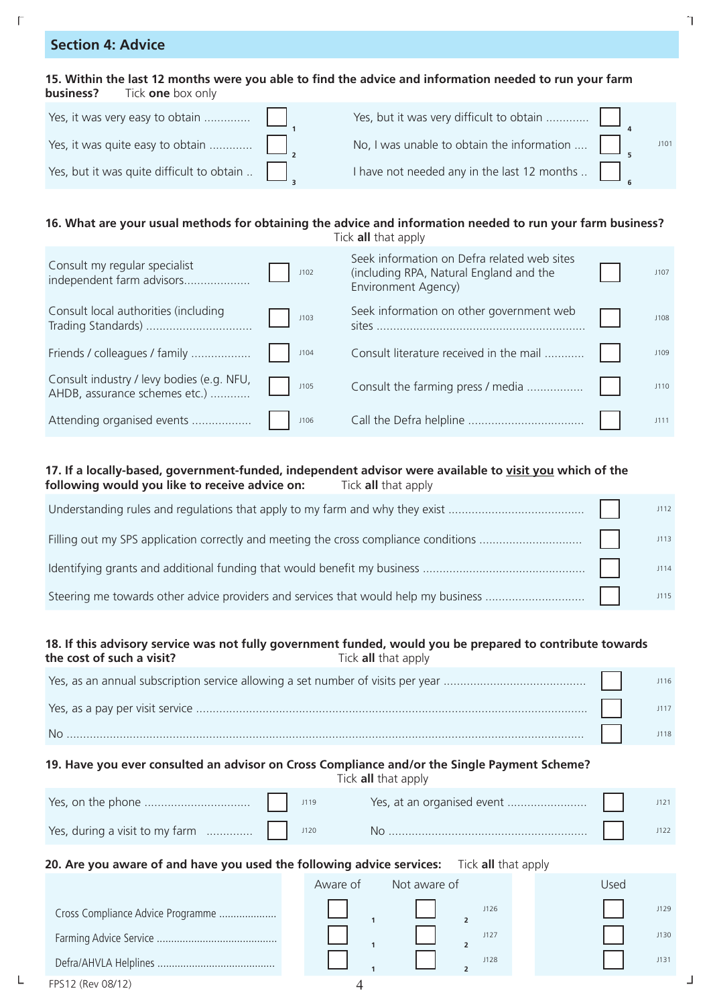## **Section 4: Advice**

#### 15. Within the last 12 months were you able to find the advice and information needed to run your farm **business?** Tick **one** box only

| Yes, it was very easy to obtain           |                                                          |  |
|-------------------------------------------|----------------------------------------------------------|--|
| Yes, it was quite easy to obtain          | No, I was unable to obtain the information $\dots$       |  |
| Yes, but it was quite difficult to obtain | I have not needed any in the last 12 months $\therefore$ |  |

## **16. What are your usual methods for obtaining the advice and information needed to run your farm business?**

| Consult my regular specialist<br>independent farm advisors                 | J102 | Seek information on Defra related web sites<br>(including RPA, Natural England and the<br>Environment Agency) | 1107 |
|----------------------------------------------------------------------------|------|---------------------------------------------------------------------------------------------------------------|------|
| Consult local authorities (including<br>Trading Standards)                 | J103 | Seek information on other government web                                                                      | 1108 |
| Friends / colleagues / family                                              | J104 | Consult literature received in the mail                                                                       | J109 |
| Consult industry / levy bodies (e.g. NFU,<br>AHDB, assurance schemes etc.) | J105 | Consult the farming press / media                                                                             | J110 |
| Attending organised events                                                 | J106 |                                                                                                               | 1111 |

#### **17. If a locally-based, government-funded, independent advisor were available to visit you which of the following would you like to receive advice on:** Tick **all** that apply

#### **18. If this advisory service was not fully government funded, would you be prepared to contribute towards the cost of such a visit?** Tick **all** that apply

|           | <b>J116</b> |
|-----------|-------------|
|           | 1117        |
| <b>No</b> | 1118        |

## **19. Have you ever consulted an advisor on Cross Compliance and/or the Single Payment Scheme?**

Tick **all** that apply

|  | J119 |  |  |
|--|------|--|--|
|  | J120 |  |  |

#### **20. Are you aware of and have you used the following advice services:** Tick **all** that apply

|                                   | Aware of | Not aware of |      | Used |      |  |
|-----------------------------------|----------|--------------|------|------|------|--|
| Cross Compliance Advice Programme |          |              | J126 |      | J129 |  |
|                                   |          |              | J127 |      | J130 |  |
|                                   |          |              | J128 |      | 113' |  |
| FPS12 (Rev 08/12)                 |          |              |      |      |      |  |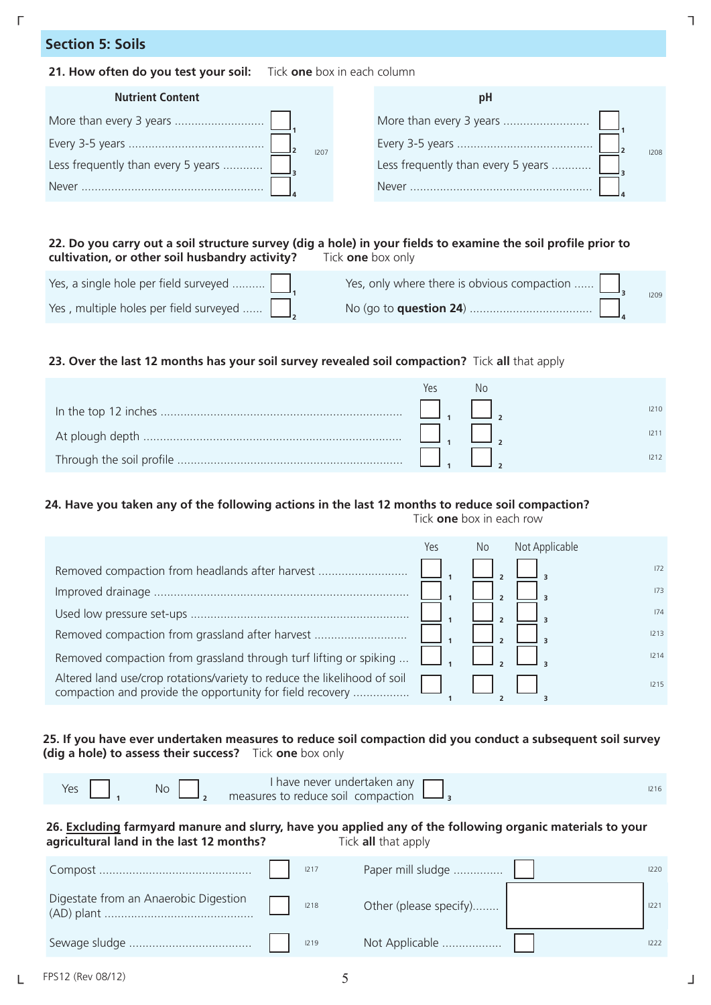## **Section 5: Soils**

#### **21. How often do you test your soil:** Tick **one** box in each column

| <b>Nutrient Content</b>            | ЮĦ                                 |
|------------------------------------|------------------------------------|
|                                    |                                    |
| 1207                               | 1208                               |
| Less frequently than every 5 years | Less frequently than every 5 years |
| Never                              | <b>Never</b>                       |

#### 22. Do you carry out a soil structure survey (dig a hole) in your fields to examine the soil profile prior to **cultivation, or other soil husbandry activity?** Tick **one** box only

| Yes, a single hole per field surveyed                | Yes, only where there is obvious compaction |  |
|------------------------------------------------------|---------------------------------------------|--|
| Yes, multiple holes per field surveyed $\ \cdot\ _2$ |                                             |  |

#### **23. Over the last 12 months has your soil survey revealed soil compaction?** Tick **all** that apply

| Yes | INC |  |
|-----|-----|--|
|     |     |  |
|     |     |  |
|     |     |  |

#### **24. Have you taken any of the following actions in the last 12 months to reduce soil compaction?**

Tick **one** box in each row

|                                                                                                                                       | Yes | No | Not Applicable |      |
|---------------------------------------------------------------------------------------------------------------------------------------|-----|----|----------------|------|
| Removed compaction from headlands after harvest                                                                                       |     |    |                | 172  |
|                                                                                                                                       |     |    |                | 173  |
|                                                                                                                                       |     |    |                | 174  |
| Removed compaction from grassland after harvest                                                                                       |     |    |                | 1213 |
| Removed compaction from grassland through turf lifting or spiking                                                                     |     |    |                | 1214 |
| Altered land use/crop rotations/variety to reduce the likelihood of soil<br>compaction and provide the opportunity for field recovery |     |    |                | 1215 |

#### **25. If you have ever undertaken measures to reduce soil compaction did you conduct a subsequent soil survey (dig a hole) to assess their success?** Tick **one** box only

#### **26. Excluding farmyard manure and slurry, have you applied any of the following organic materials to your agricultural land in the last 12 months?** Tick **all** that apply

|  | 1217 | Paper mill sludge      | 1220 |
|--|------|------------------------|------|
|  | 1218 | Other (please specify) |      |
|  | 1219 | Not Applicable         |      |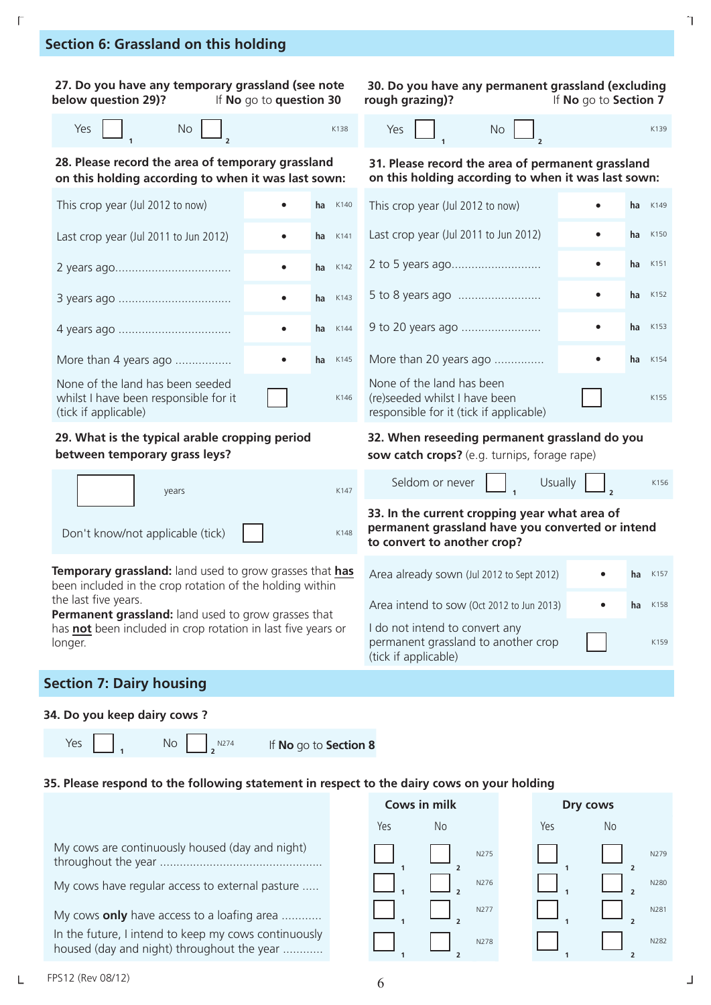## **Section 6: Grassland on this holding**

| 27. Do you have any temporary grassland (see note<br>below question 29)?                                                   | If No go to question 30 |             | 30. Do you have any permanent grassland (excluding<br>rough grazing)?                                                            | If No go to Section 7 |    |      |
|----------------------------------------------------------------------------------------------------------------------------|-------------------------|-------------|----------------------------------------------------------------------------------------------------------------------------------|-----------------------|----|------|
| Yes<br>No                                                                                                                  |                         | K138        | <b>No</b><br>Yes                                                                                                                 |                       |    | K139 |
| 28. Please record the area of temporary grassland<br>on this holding according to when it was last sown:                   |                         |             | 31. Please record the area of permanent grassland<br>on this holding according to when it was last sown:                         |                       |    |      |
| This crop year (Jul 2012 to now)                                                                                           |                         | $ha$ $K140$ | This crop year (Jul 2012 to now)                                                                                                 |                       | ha | K149 |
| Last crop year (Jul 2011 to Jun 2012)                                                                                      |                         | ha<br>K141  | Last crop year (Jul 2011 to Jun 2012)                                                                                            |                       | ha | K150 |
|                                                                                                                            |                         | K142<br>ha  |                                                                                                                                  |                       | ha | K151 |
|                                                                                                                            |                         | K143<br>ha  |                                                                                                                                  |                       | ha | K152 |
|                                                                                                                            | $\bullet$               | K144<br>ha  |                                                                                                                                  |                       | ha | K153 |
| More than 4 years ago                                                                                                      |                         | ha<br>K145  | More than 20 years ago                                                                                                           |                       | ha | K154 |
| None of the land has been seeded<br>whilst I have been responsible for it<br>(tick if applicable)                          |                         | K146        | None of the land has been<br>(re)seeded whilst I have been<br>responsible for it (tick if applicable)                            |                       |    | K155 |
| 29. What is the typical arable cropping period<br>between temporary grass leys?                                            |                         |             | 32. When reseeding permanent grassland do you<br>sow catch crops? (e.g. turnips, forage rape)                                    |                       |    |      |
| years                                                                                                                      |                         | K147        | Seldom or never                                                                                                                  | <b>Usually</b>        |    | K156 |
| Don't know/not applicable (tick)                                                                                           |                         | K148        | 33. In the current cropping year what area of<br>permanent grassland have you converted or intend<br>to convert to another crop? |                       |    |      |
| <b>Temporary grassland:</b> land used to grow grasses that has<br>been included in the crop rotation of the holding within |                         |             | Area already sown (Jul 2012 to Sept 2012)                                                                                        |                       | ha | K157 |
| the last five years.<br>Permanent grassland: land used to grow grasses that                                                |                         |             | Area intend to sow (Oct 2012 to Jun 2013)                                                                                        |                       | ha | K158 |
| has not been included in crop rotation in last five years or<br>longer.                                                    |                         |             | I do not intend to convert any<br>permanent grassland to another crop<br>(tick if applicable)                                    |                       |    | K159 |
| <b>Section 7: Dairy housing</b>                                                                                            |                         |             |                                                                                                                                  |                       |    |      |

# **34. Do you keep dairy cows ?**

Yes  $\begin{array}{|c|c|c|c|}\n\hline\n1\n\end{array}$  No  $\begin{array}{|c|c|c|}\n\hline\n2\n\end{array}$ <sup>N274</sup>

If **No** go to **Section 8** 

#### **35. Please respond to the following statement in respect to the dairy cows on your holding**

|                                                                                                    |     | Cows in milk     |     | Dry cows |
|----------------------------------------------------------------------------------------------------|-----|------------------|-----|----------|
|                                                                                                    | Yes | No               | Yes | No       |
| My cows are continuously housed (day and night)                                                    |     | N275             |     |          |
| My cows have regular access to external pasture                                                    |     | N276             |     |          |
| My cows only have access to a loafing area                                                         |     | N277             |     |          |
| In the future, I intend to keep my cows continuously<br>housed (day and night) throughout the year |     | N <sub>278</sub> |     |          |

N279

N280

N281

N282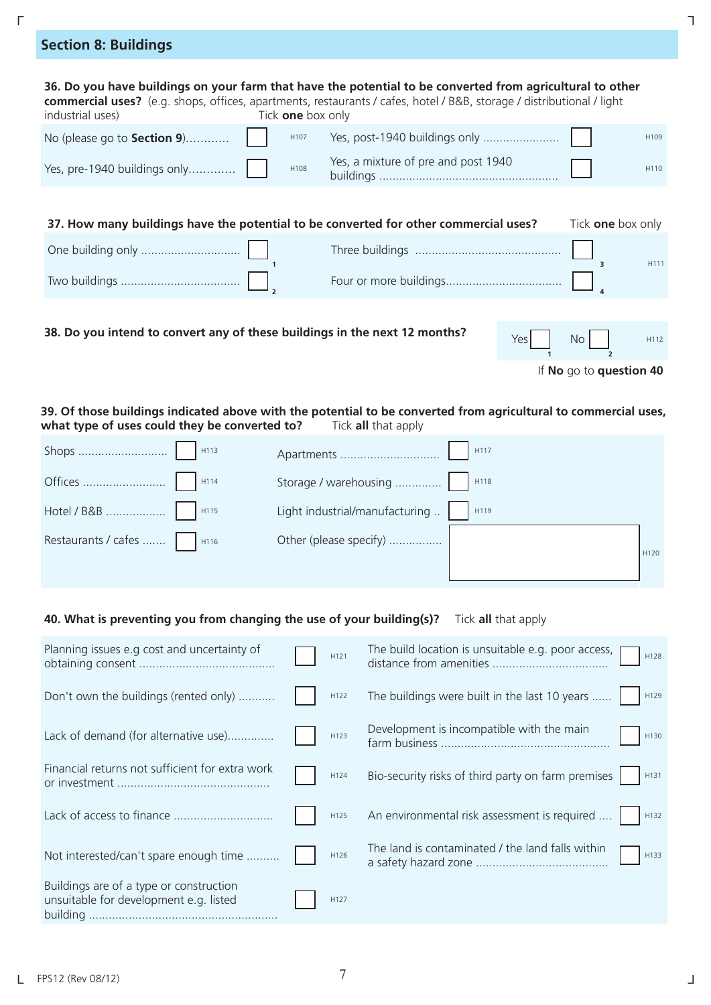| <b>Section 8: Buildings</b>                                                                                                                                                                                                                                                 |                                     |                          |
|-----------------------------------------------------------------------------------------------------------------------------------------------------------------------------------------------------------------------------------------------------------------------------|-------------------------------------|--------------------------|
| 36. Do you have buildings on your farm that have the potential to be converted from agricultural to other<br>commercial uses? (e.g. shops, offices, apartments, restaurants / cafes, hotel / B&B, storage / distributional / light<br>Tick one box only<br>industrial uses) |                                     |                          |
| No (please go to <b>Section 9</b> )<br>H107                                                                                                                                                                                                                                 | Yes, post-1940 buildings only       | H109                     |
| Yes, pre-1940 buildings only<br>H108                                                                                                                                                                                                                                        | Yes, a mixture of pre and post 1940 | H <sub>110</sub>         |
| 37. How many buildings have the potential to be converted for other commercial uses?                                                                                                                                                                                        |                                     | Tick <b>one</b> box only |
|                                                                                                                                                                                                                                                                             |                                     | H111                     |
|                                                                                                                                                                                                                                                                             |                                     |                          |

 $\Gamma$   $\Gamma$ 

**38. Do you intend to convert any of these buildings in the next 12 months?** Yes

| Yes | No <sub>1</sub> | H <sub>11</sub> |
|-----|-----------------|-----------------|
|     |                 |                 |

If **No** go to **question 40**

#### **39. Of those buildings indicated above with the potential to be converted from agricultural to commercial uses, what type of uses could they be converted to? Tick all that apply**

| Shops | H113 | Apartments                     | H117 |                  |
|-------|------|--------------------------------|------|------------------|
|       | H114 |                                |      |                  |
|       | H115 | Light industrial/manufacturing | H119 |                  |
|       |      | Other (please specify)         |      | H <sub>120</sub> |

#### **40. What is preventing you from changing the use of your building(s)?** Tick **all** that apply

| Planning issues e.g cost and uncertainty of                                       | H121 | The build location is unsuitable e.g. poor access,<br>H128 |
|-----------------------------------------------------------------------------------|------|------------------------------------------------------------|
| Don't own the buildings (rented only)                                             | H122 | The buildings were built in the last 10 years<br>H129      |
| Lack of demand (for alternative use)                                              | H123 | Development is incompatible with the main<br>H130          |
| Financial returns not sufficient for extra work                                   | H124 | Bio-security risks of third party on farm premises<br>H131 |
| Lack of access to finance                                                         | H125 | An environmental risk assessment is required<br>H132       |
| Not interested/can't spare enough time                                            | H126 | The land is contaminated / the land falls within<br>H133   |
| Buildings are of a type or construction<br>unsuitable for development e.g. listed | H127 |                                                            |